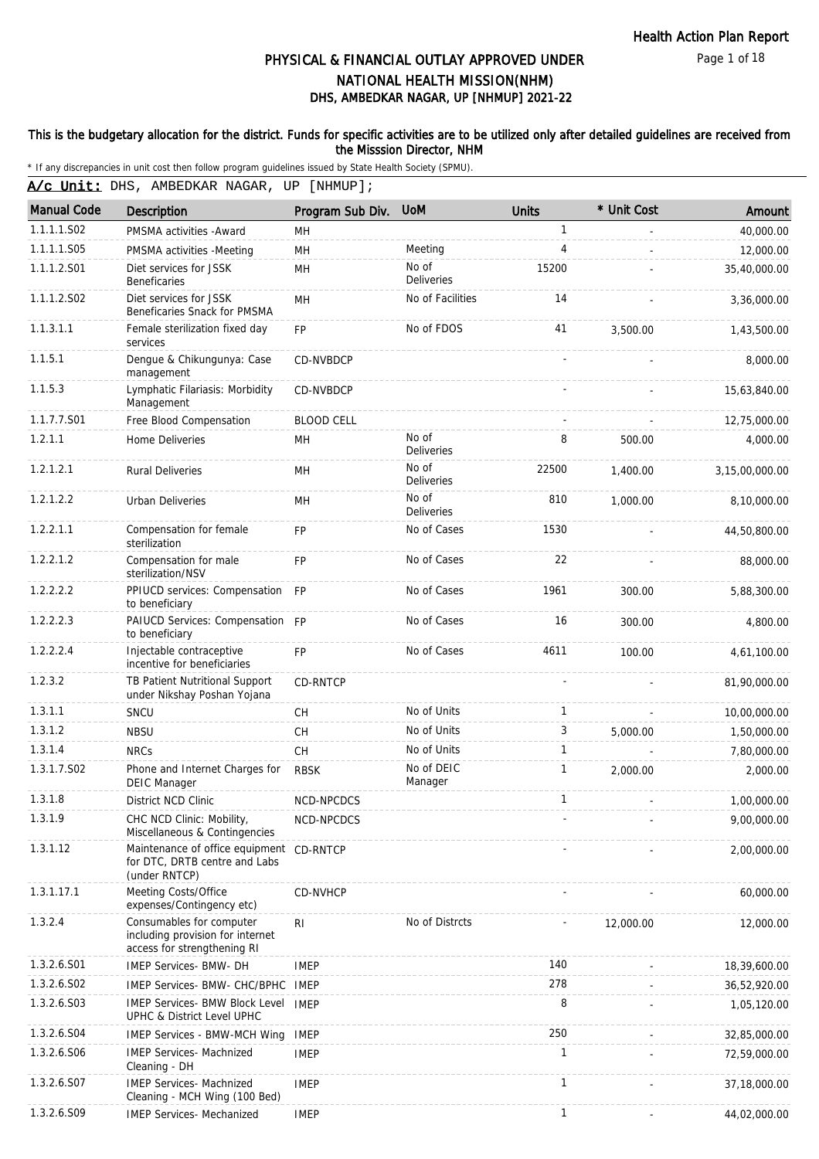Page 1 of 18

# DHS, AMBEDKAR NAGAR, UP [NHMUP] 2021-22 PHYSICAL & FINANCIAL OUTLAY APPROVED UNDER NATIONAL HEALTH MISSION(NHM)

### This is the budgetary allocation for the district. Funds for specific activities are to be utilized only after detailed guidelines are received from the Misssion Director, NHM

| A/c Unit: DHS, AMBEDKAR NAGAR, UP [NHMUP]; |                                                                                             |                   |                            |              |             |                |  |  |
|--------------------------------------------|---------------------------------------------------------------------------------------------|-------------------|----------------------------|--------------|-------------|----------------|--|--|
| <b>Manual Code</b>                         | Description                                                                                 | Program Sub Div.  | <b>UoM</b>                 | <b>Units</b> | * Unit Cost | Amount         |  |  |
| 1.1.1.1.S02                                | PMSMA activities - Award                                                                    | MН                |                            | 1            |             | 40,000.00      |  |  |
| 1.1.1.1.S05                                | PMSMA activities -Meeting                                                                   | <b>MH</b>         | Meeting                    | 4            |             | 12,000.00      |  |  |
| 1.1.1.2.S01                                | Diet services for JSSK<br><b>Beneficaries</b>                                               | MH                | No of<br><b>Deliveries</b> | 15200        |             | 35,40,000.00   |  |  |
| 1.1.1.2.S02                                | Diet services for JSSK<br>Beneficaries Snack for PMSMA                                      | <b>MH</b>         | No of Facilities           | 14           |             | 3,36,000.00    |  |  |
| 1.1.3.1.1                                  | Female sterilization fixed day<br>services                                                  | <b>FP</b>         | No of FDOS                 | 41           | 3,500.00    | 1,43,500.00    |  |  |
| 1.1.5.1                                    | Dengue & Chikungunya: Case<br>management                                                    | <b>CD-NVBDCP</b>  |                            |              |             | 8,000.00       |  |  |
| 1.1.5.3                                    | Lymphatic Filariasis: Morbidity<br>Management                                               | CD-NVBDCP         |                            |              |             | 15,63,840.00   |  |  |
| 1.1.7.7.S01                                | Free Blood Compensation                                                                     | <b>BLOOD CELL</b> |                            |              |             | 12,75,000.00   |  |  |
| 1.2.1.1                                    | Home Deliveries                                                                             | MН                | No of<br><b>Deliveries</b> | 8            | 500.00      | 4,000.00       |  |  |
| 1.2.1.2.1                                  | <b>Rural Deliveries</b>                                                                     | MН                | No of<br>Deliveries        | 22500        | 1,400.00    | 3,15,00,000.00 |  |  |
| 1.2.1.2.2                                  | Urban Deliveries                                                                            | MН                | No of<br><b>Deliveries</b> | 810          | 1,000.00    | 8,10,000.00    |  |  |
| 1.2.2.1.1                                  | Compensation for female<br>sterilization                                                    | <b>FP</b>         | No of Cases                | 1530         |             | 44,50,800.00   |  |  |
| 1.2.2.1.2                                  | Compensation for male<br>sterilization/NSV                                                  | <b>FP</b>         | No of Cases                | 22           |             | 88,000.00      |  |  |
| 1.2.2.2.2                                  | PPIUCD services: Compensation FP<br>to beneficiary                                          |                   | No of Cases                | 1961         | 300.00      | 5,88,300.00    |  |  |
| 1.2.2.2.3                                  | PAIUCD Services: Compensation FP<br>to beneficiary                                          |                   | No of Cases                | 16           | 300.00      | 4,800.00       |  |  |
| 1.2.2.2.4                                  | Injectable contraceptive<br>incentive for beneficiaries                                     | <b>FP</b>         | No of Cases                | 4611         | 100.00      | 4,61,100.00    |  |  |
| 1.2.3.2                                    | TB Patient Nutritional Support<br>under Nikshay Poshan Yojana                               | CD-RNTCP          |                            |              |             | 81,90,000.00   |  |  |
| 1.3.1.1                                    | SNCU                                                                                        | <b>CH</b>         | No of Units                | $\mathbf{1}$ |             | 10,00,000.00   |  |  |
| 1.3.1.2                                    | <b>NBSU</b>                                                                                 | <b>CH</b>         | No of Units                | 3            | 5,000.00    | 1,50,000.00    |  |  |
| 1.3.1.4                                    | <b>NRCs</b>                                                                                 | CH                | No of Units                | $\mathbf{1}$ |             | 7,80,000.00    |  |  |
| 1.3.1.7.S02                                | Phone and Internet Charges for<br><b>DEIC Manager</b>                                       | <b>RBSK</b>       | No of DEIC<br>Manager      | $\mathbf{1}$ | 2,000.00    | 2,000.00       |  |  |
| 1.3.1.8                                    | District NCD Clinic                                                                         | NCD-NPCDCS        |                            |              |             | 1,00,000.00    |  |  |
| 1.3.1.9                                    | CHC NCD Clinic: Mobility,<br>Miscellaneous & Contingencies                                  | NCD-NPCDCS        |                            |              |             | 9,00,000.00    |  |  |
| 1.3.1.12                                   | Maintenance of office equipment CD-RNTCP<br>for DTC, DRTB centre and Labs<br>(under RNTCP)  |                   |                            |              |             | 2,00,000.00    |  |  |
| 1.3.1.17.1                                 | Meeting Costs/Office<br>expenses/Contingency etc)                                           | <b>CD-NVHCP</b>   |                            |              |             | 60,000.00      |  |  |
| 1.3.2.4                                    | Consumables for computer<br>including provision for internet<br>access for strengthening RI | RI                | No of Distrcts             |              | 12,000.00   | 12,000.00      |  |  |
| 1.3.2.6.S01                                | IMEP Services- BMW- DH                                                                      | <b>IMEP</b>       |                            | 140          |             | 18,39,600.00   |  |  |
| 1.3.2.6.S02                                | IMEP Services- BMW- CHC/BPHC                                                                | IMEP              |                            | 278          |             | 36,52,920.00   |  |  |
| 1.3.2.6.S03                                | <b>IMEP Services- BMW Block Level</b><br>UPHC & District Level UPHC                         | <b>IMEP</b>       |                            | 8            |             | 1,05,120.00    |  |  |
| 1.3.2.6.S04                                | <b>IMEP Services - BMW-MCH Wing</b>                                                         | <b>IMEP</b>       |                            | 250          |             | 32,85,000.00   |  |  |
| 1.3.2.6.S06                                | <b>IMEP Services- Machnized</b><br>Cleaning - DH                                            | <b>IMEP</b>       |                            | 1            |             | 72,59,000.00   |  |  |
| 1.3.2.6.507                                | <b>IMEP Services- Machnized</b><br>Cleaning - MCH Wing (100 Bed)                            | <b>IMEP</b>       |                            | 1            |             | 37,18,000.00   |  |  |
| 1.3.2.6.S09                                | IMEP Services- Mechanized                                                                   | <b>IMEP</b>       |                            | $\mathbf{1}$ |             | 44,02,000.00   |  |  |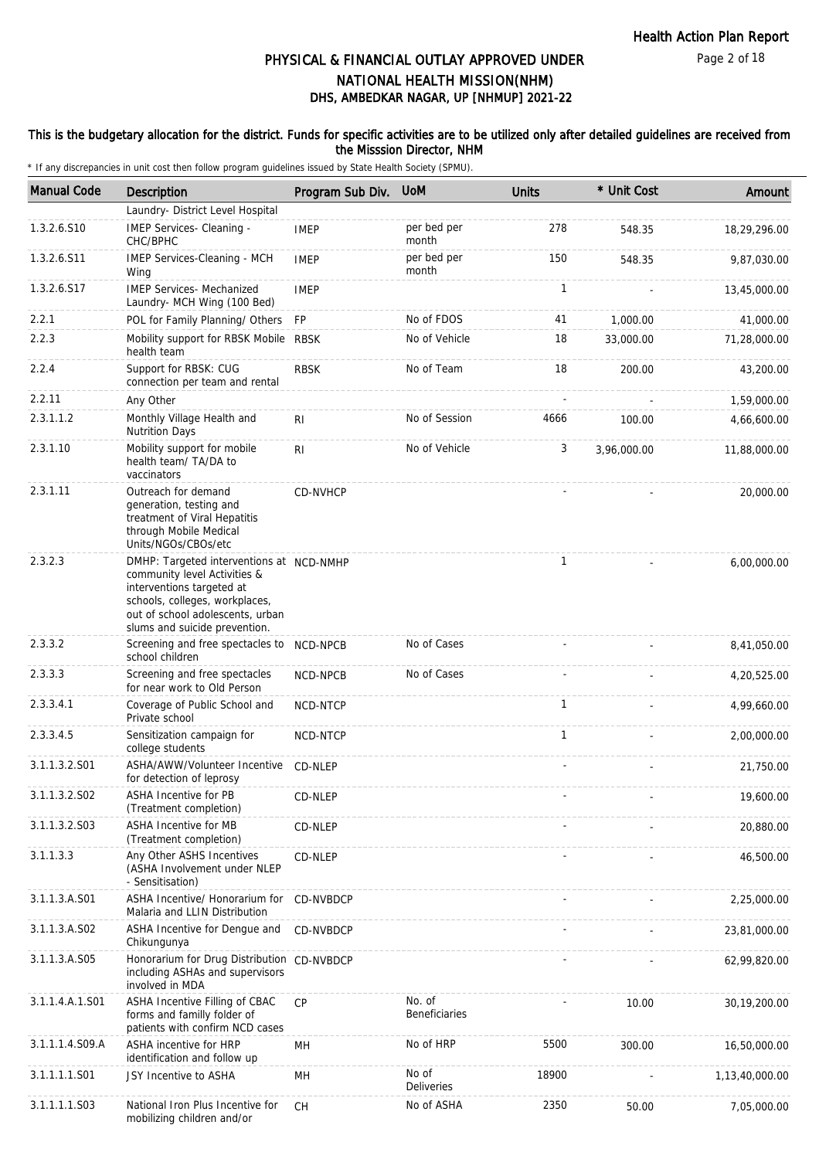Page 2 of 18

# DHS, AMBEDKAR NAGAR, UP [NHMUP] 2021-22 PHYSICAL & FINANCIAL OUTLAY APPROVED UNDER NATIONAL HEALTH MISSION(NHM)

## This is the budgetary allocation for the district. Funds for specific activities are to be utilized only after detailed guidelines are received from the Misssion Director, NHM

| <b>Manual Code</b> | <b>Description</b>                                                                                                                                                                                           | Program Sub Div. | <b>UoM</b>                 | <b>Units</b> | * Unit Cost | Amount         |
|--------------------|--------------------------------------------------------------------------------------------------------------------------------------------------------------------------------------------------------------|------------------|----------------------------|--------------|-------------|----------------|
|                    | Laundry- District Level Hospital                                                                                                                                                                             |                  |                            |              |             |                |
| 1.3.2.6.S10        | IMEP Services- Cleaning -<br>CHC/BPHC                                                                                                                                                                        | <b>IMEP</b>      | per bed per<br>month       | 278          | 548.35      | 18,29,296.00   |
| 1.3.2.6.S11        | IMEP Services-Cleaning - MCH<br>Wing                                                                                                                                                                         | <b>IMEP</b>      | per bed per<br>month       | 150          | 548.35      | 9,87,030.00    |
| 1.3.2.6.S17        | <b>IMEP Services- Mechanized</b><br>Laundry- MCH Wing (100 Bed)                                                                                                                                              | <b>IMEP</b>      |                            | 1            |             | 13,45,000.00   |
| 2.2.1              | POL for Family Planning/ Others                                                                                                                                                                              | FP               | No of FDOS                 | 41           | 1,000.00    | 41,000.00      |
| 2.2.3              | Mobility support for RBSK Mobile<br>health team                                                                                                                                                              | <b>RBSK</b>      | No of Vehicle              | 18           | 33,000.00   | 71,28,000.00   |
| 2.2.4              | Support for RBSK: CUG<br>connection per team and rental                                                                                                                                                      | <b>RBSK</b>      | No of Team                 | 18           | 200.00      | 43,200.00      |
| 2.2.11             | Any Other                                                                                                                                                                                                    |                  |                            |              |             | 1,59,000.00    |
| 2.3.1.1.2          | Monthly Village Health and<br><b>Nutrition Days</b>                                                                                                                                                          | R <sub>1</sub>   | No of Session              | 4666         | 100.00      | 4,66,600.00    |
| 2.3.1.10           | Mobility support for mobile<br>health team/ TA/DA to<br>vaccinators                                                                                                                                          | R <sub>1</sub>   | No of Vehicle              | 3            | 3,96,000.00 | 11,88,000.00   |
| 2.3.1.11           | Outreach for demand<br>generation, testing and<br>treatment of Viral Hepatitis<br>through Mobile Medical<br>Units/NGOs/CBOs/etc                                                                              | CD-NVHCP         |                            |              |             | 20,000.00      |
| 2.3.2.3            | DMHP: Targeted interventions at NCD-NMHP<br>community level Activities &<br>interventions targeted at<br>schools, colleges, workplaces,<br>out of school adolescents, urban<br>slums and suicide prevention. |                  |                            | 1            |             | 6,00,000.00    |
| 2.3.3.2            | Screening and free spectacles to<br>school children                                                                                                                                                          | NCD-NPCB         | No of Cases                |              |             | 8,41,050.00    |
| 2.3.3.3            | Screening and free spectacles<br>for near work to Old Person                                                                                                                                                 | NCD-NPCB         | No of Cases                |              |             | 4,20,525.00    |
| 2.3.3.4.1          | Coverage of Public School and<br>Private school                                                                                                                                                              | NCD-NTCP         |                            | 1            |             | 4,99,660.00    |
| 2.3.3.4.5          | Sensitization campaign for<br>college students                                                                                                                                                               | NCD-NTCP         |                            | $\mathbf{1}$ |             | 2,00,000.00    |
| 3.1.1.3.2.S01      | ASHA/AWW/Volunteer Incentive<br>for detection of leprosy                                                                                                                                                     | CD-NLEP          |                            |              |             | 21,750.00      |
| 3.1.1.3.2.S02      | ASHA Incentive for PB<br>(Treatment completion)                                                                                                                                                              | CD-NLEP          |                            |              |             | 19,600.00      |
| 3.1.1.3.2.S03      | <b>ASHA Incentive for MB</b><br>(Treatment completion)                                                                                                                                                       | CD-NLEP          |                            |              |             | 20,880.00      |
| 3.1.1.3.3          | Any Other ASHS Incentives<br>(ASHA Involvement under NLEP<br>- Sensitisation)                                                                                                                                | CD-NLEP          |                            |              |             | 46,500.00      |
| 3.1.1.3.A.S01      | ASHA Incentive/ Honorarium for<br>Malaria and LLIN Distribution                                                                                                                                              | CD-NVBDCP        |                            |              |             | 2,25,000.00    |
| 3.1.1.3.A.S02      | ASHA Incentive for Dengue and<br>Chikungunya                                                                                                                                                                 | CD-NVBDCP        |                            |              |             | 23,81,000.00   |
| 3.1.1.3.A.S05      | Honorarium for Drug Distribution CD-NVBDCP<br>including ASHAs and supervisors<br>involved in MDA                                                                                                             |                  |                            |              |             | 62,99,820.00   |
| 3.1.1.4.A.1.S01    | ASHA Incentive Filling of CBAC<br>forms and familly folder of<br>patients with confirm NCD cases                                                                                                             | <b>CP</b>        | No. of<br>Beneficiaries    |              | 10.00       | 30,19,200.00   |
| 3.1.1.1.4.S09.A    | ASHA incentive for HRP<br>identification and follow up                                                                                                                                                       | MН               | No of HRP                  | 5500         | 300.00      | 16,50,000.00   |
| 3.1.1.1.1.S01      | JSY Incentive to ASHA                                                                                                                                                                                        | MH               | No of<br><b>Deliveries</b> | 18900        |             | 1,13,40,000.00 |
| 3.1.1.1.1.S03      | National Iron Plus Incentive for<br>mobilizing children and/or                                                                                                                                               | СH               | No of ASHA                 | 2350         | 50.00       | 7,05,000.00    |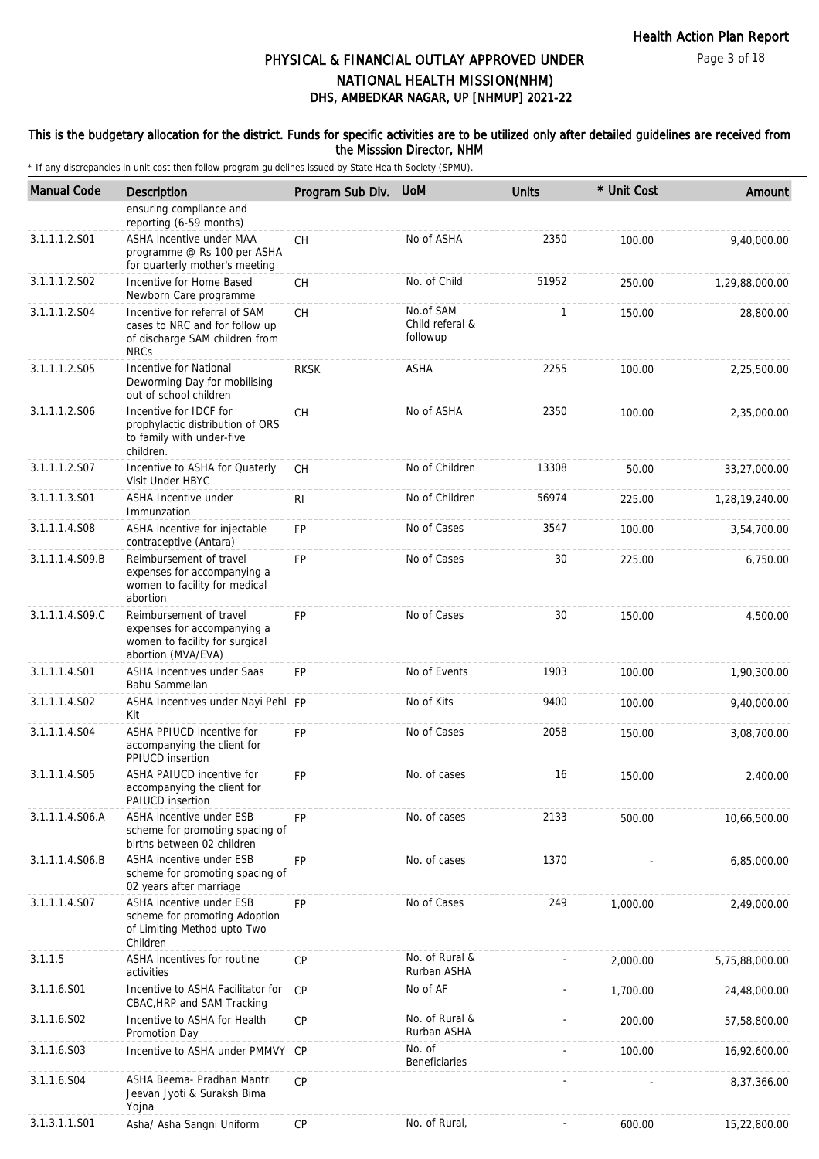#### This is the budgetary allocation for the district. Funds for specific activities are to be utilized only after detailed guidelines are received from the Misssion Director, NHM

| <b>Manual Code</b> | <b>Description</b>                                                                                               | Program Sub Div. | <b>UoM</b>                               | <b>Units</b> | * Unit Cost | Amount         |
|--------------------|------------------------------------------------------------------------------------------------------------------|------------------|------------------------------------------|--------------|-------------|----------------|
|                    | ensuring compliance and<br>reporting (6-59 months)                                                               |                  |                                          |              |             |                |
| 3.1.1.1.2.S01      | ASHA incentive under MAA<br>programme @ Rs 100 per ASHA<br>for quarterly mother's meeting                        | <b>CH</b>        | No of ASHA                               | 2350         | 100.00      | 9,40,000.00    |
| 3.1.1.1.2.S02      | Incentive for Home Based<br>Newborn Care programme                                                               | <b>CH</b>        | No. of Child                             | 51952        | 250.00      | 1,29,88,000.00 |
| 3.1.1.1.2.S04      | Incentive for referral of SAM<br>cases to NRC and for follow up<br>of discharge SAM children from<br><b>NRCs</b> | CH               | No.of SAM<br>Child referal &<br>followup | $\mathbf{1}$ | 150.00      | 28,800.00      |
| 3.1.1.1.2.S05      | Incentive for National<br>Deworming Day for mobilising<br>out of school children                                 | <b>RKSK</b>      | <b>ASHA</b>                              | 2255         | 100.00      | 2,25,500.00    |
| 3.1.1.1.2.S06      | Incentive for IDCF for<br>prophylactic distribution of ORS<br>to family with under-five<br>children.             | <b>CH</b>        | No of ASHA                               | 2350         | 100.00      | 2,35,000.00    |
| 3.1.1.1.2.S07      | Incentive to ASHA for Quaterly<br>Visit Under HBYC                                                               | <b>CH</b>        | No of Children                           | 13308        | 50.00       | 33,27,000.00   |
| 3.1.1.1.3.S01      | ASHA Incentive under<br>Immunzation                                                                              | RI               | No of Children                           | 56974        | 225.00      | 1,28,19,240.00 |
| 3.1.1.1.4.S08      | ASHA incentive for injectable<br>contraceptive (Antara)                                                          | <b>FP</b>        | No of Cases                              | 3547         | 100.00      | 3,54,700.00    |
| 3.1.1.1.4.S09.B    | Reimbursement of travel<br>expenses for accompanying a<br>women to facility for medical<br>abortion              | <b>FP</b>        | No of Cases                              | 30           | 225.00      | 6,750.00       |
| 3.1.1.1.4.S09.C    | Reimbursement of travel<br>expenses for accompanying a<br>women to facility for surgical<br>abortion (MVA/EVA)   | <b>FP</b>        | No of Cases                              | 30           | 150.00      | 4,500.00       |
| 3.1.1.1.4.S01      | ASHA Incentives under Saas<br>Bahu Sammellan                                                                     | <b>FP</b>        | No of Events                             | 1903         | 100.00      | 1,90,300.00    |
| 3.1.1.1.4.S02      | ASHA Incentives under Nayi Pehl FP<br>Kit                                                                        |                  | No of Kits                               | 9400         | 100.00      | 9,40,000.00    |
| 3.1.1.1.4.S04      | ASHA PPIUCD incentive for<br>accompanying the client for<br>PPIUCD insertion                                     | <b>FP</b>        | No of Cases                              | 2058         | 150.00      | 3,08,700.00    |
| 3.1.1.1.4.S05      | ASHA PAIUCD incentive for<br>accompanying the client for<br>PAIUCD insertion                                     | <b>FP</b>        | No. of cases                             | 16           | 150.00      | 2,400.00       |
| 3.1.1.1.4.S06.A    | ASHA incentive under ESB<br>scheme for promoting spacing of<br>births between 02 children                        | <b>FP</b>        | No. of cases                             | 2133         | 500.00      | 10,66,500.00   |
| 3.1.1.1.4.S06.B    | ASHA incentive under ESB<br>scheme for promoting spacing of<br>02 years after marriage                           | <b>FP</b>        | No. of cases                             | 1370         |             | 6,85,000.00    |
| 3.1.1.1.4.S07      | ASHA incentive under ESB<br>scheme for promoting Adoption<br>of Limiting Method upto Two<br>Children             | <b>FP</b>        | No of Cases                              | 249          | 1,000.00    | 2,49,000.00    |
| 3.1.1.5            | ASHA incentives for routine<br>activities                                                                        | <b>CP</b>        | No. of Rural &<br>Rurban ASHA            |              | 2,000.00    | 5,75,88,000.00 |
| 3.1.1.6.S01        | Incentive to ASHA Facilitator for<br>CBAC, HRP and SAM Tracking                                                  | CP               | No of AF                                 |              | 1,700.00    | 24,48,000.00   |
| 3.1.1.6.S02        | Incentive to ASHA for Health<br>Promotion Day                                                                    | <b>CP</b>        | No. of Rural &<br>Rurban ASHA            |              | 200.00      | 57,58,800.00   |
| 3.1.1.6.S03        | Incentive to ASHA under PMMVY CP                                                                                 |                  | No. of<br>Beneficiaries                  |              | 100.00      | 16,92,600.00   |
| 3.1.1.6.S04        | ASHA Beema- Pradhan Mantri<br>Jeevan Jyoti & Suraksh Bima<br>Yojna                                               | CP               |                                          |              |             | 8,37,366.00    |
| 3.1.3.1.1.S01      | Asha/ Asha Sangni Uniform                                                                                        | CP               | No. of Rural,                            |              | 600.00      | 15,22,800.00   |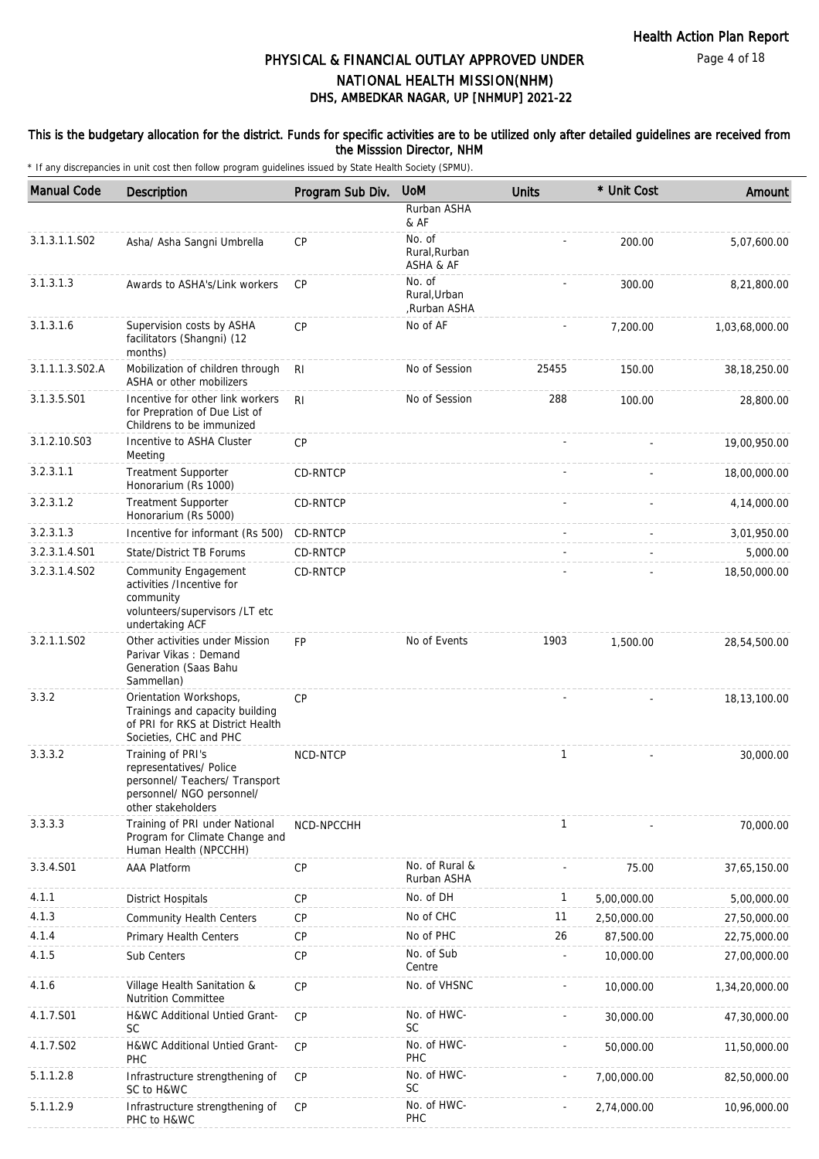## This is the budgetary allocation for the district. Funds for specific activities are to be utilized only after detailed guidelines are received from the Misssion Director, NHM

| <b>Manual Code</b> | <b>Description</b>                                                                                                                | Program Sub Div. | <b>UoM</b>                             | <b>Units</b> | * Unit Cost | Amount         |
|--------------------|-----------------------------------------------------------------------------------------------------------------------------------|------------------|----------------------------------------|--------------|-------------|----------------|
|                    |                                                                                                                                   |                  | Rurban ASHA<br>& AF                    |              |             |                |
| 3.1.3.1.1.S02      | Asha/ Asha Sangni Umbrella                                                                                                        | CP               | No. of<br>Rural, Rurban<br>ASHA & AF   |              | 200.00      | 5,07,600.00    |
| 3.1.3.1.3          | Awards to ASHA's/Link workers                                                                                                     | <b>CP</b>        | No. of<br>Rural, Urban<br>,Rurban ASHA |              | 300.00      | 8,21,800.00    |
| 3.1.3.1.6          | Supervision costs by ASHA<br>facilitators (Shangni) (12<br>months)                                                                | CP               | No of AF                               |              | 7,200.00    | 1,03,68,000.00 |
| 3.1.1.1.3.S02.A    | Mobilization of children through<br>ASHA or other mobilizers                                                                      | R <sub>l</sub>   | No of Session                          | 25455        | 150.00      | 38,18,250.00   |
| 3.1.3.5.S01        | Incentive for other link workers<br>for Prepration of Due List of<br>Childrens to be immunized                                    | R <sub>l</sub>   | No of Session                          | 288          | 100.00      | 28,800.00      |
| 3.1.2.10.S03       | Incentive to ASHA Cluster<br>Meeting                                                                                              | CP               |                                        |              |             | 19,00,950.00   |
| 3.2.3.1.1          | <b>Treatment Supporter</b><br>Honorarium (Rs 1000)                                                                                | CD-RNTCP         |                                        |              |             | 18,00,000.00   |
| 3.2.3.1.2          | <b>Treatment Supporter</b><br>Honorarium (Rs 5000)                                                                                | CD-RNTCP         |                                        |              |             | 4,14,000.00    |
| 3.2.3.1.3          | Incentive for informant (Rs 500)                                                                                                  | CD-RNTCP         |                                        |              |             | 3,01,950.00    |
| 3.2.3.1.4.S01      | <b>State/District TB Forums</b>                                                                                                   | CD-RNTCP         |                                        |              |             | 5,000.00       |
| 3.2.3.1.4.S02      | <b>Community Engagement</b><br>activities /Incentive for<br>community<br>volunteers/supervisors /LT etc<br>undertaking ACF        | CD-RNTCP         |                                        |              |             | 18,50,000.00   |
| 3.2.1.1.S02        | Other activities under Mission<br>Parivar Vikas: Demand<br>Generation (Saas Bahu<br>Sammellan)                                    | <b>FP</b>        | No of Events                           | 1903         | 1,500.00    | 28,54,500.00   |
| 3.3.2              | Orientation Workshops,<br>Trainings and capacity building<br>of PRI for RKS at District Health<br>Societies, CHC and PHC          | CP               |                                        |              |             | 18,13,100.00   |
| 3.3.3.2            | Training of PRI's<br>representatives/ Police<br>personnel/ Teachers/ Transport<br>personnel/ NGO personnel/<br>other stakeholders | NCD-NTCP         |                                        | $\mathbf{1}$ |             | 30,000.00      |
| 3.3.3.3            | Training of PRI under National<br>Program for Climate Change and<br>Human Health (NPCCHH)                                         | NCD-NPCCHH       |                                        | 1            |             | 70,000.00      |
| 3.3.4.S01          | <b>AAA Platform</b>                                                                                                               | CP               | No. of Rural &<br>Rurban ASHA          |              | 75.00       | 37,65,150.00   |
| 4.1.1              | <b>District Hospitals</b>                                                                                                         | CP               | No. of DH                              | $\mathbf{1}$ | 5,00,000.00 | 5,00,000.00    |
| 4.1.3              | <b>Community Health Centers</b>                                                                                                   | <b>CP</b>        | No of CHC                              | 11           | 2,50,000.00 | 27,50,000.00   |
| 4.1.4              | Primary Health Centers                                                                                                            | <b>CP</b>        | No of PHC                              | 26           | 87,500.00   | 22,75,000.00   |
| 4.1.5              | Sub Centers                                                                                                                       | CP               | No. of Sub<br>Centre                   |              | 10,000.00   | 27,00,000.00   |
| 4.1.6              | Village Health Sanitation &<br><b>Nutrition Committee</b>                                                                         | CP               | No. of VHSNC                           |              | 10,000.00   | 1,34,20,000.00 |
| 4.1.7.S01          | H&WC Additional Untied Grant-<br><b>SC</b>                                                                                        | CP               | No. of HWC-<br><b>SC</b>               |              | 30,000.00   | 47,30,000.00   |
| 4.1.7.S02          | H&WC Additional Untied Grant-<br><b>PHC</b>                                                                                       | <b>CP</b>        | No. of HWC-<br>PHC                     |              | 50,000.00   | 11,50,000.00   |
| 5.1.1.2.8          | Infrastructure strengthening of<br>SC to H&WC                                                                                     | CP               | No. of HWC-<br><b>SC</b>               |              | 7,00,000.00 | 82,50,000.00   |
| 5.1.1.2.9          | Infrastructure strengthening of<br>PHC to H&WC                                                                                    | CP               | No. of HWC-<br>PHC                     |              | 2,74,000.00 | 10,96,000.00   |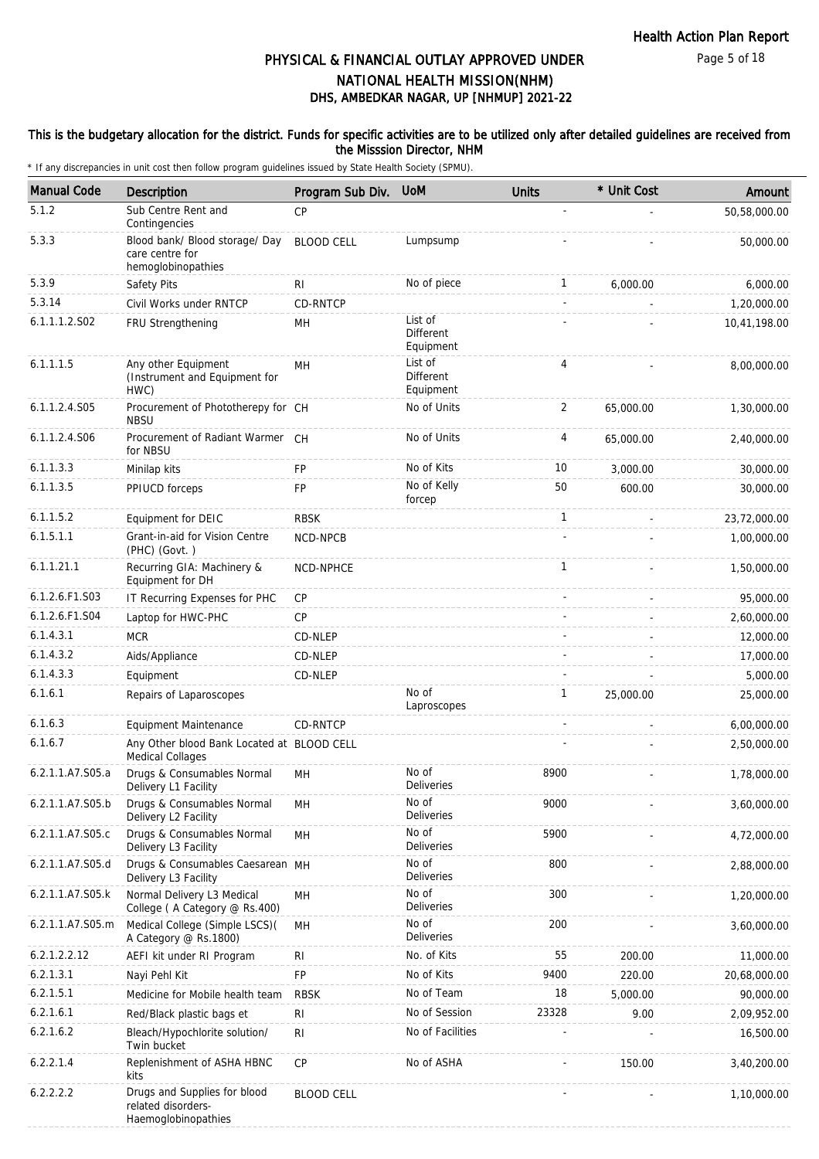Page 5 of 18

# DHS, AMBEDKAR NAGAR, UP [NHMUP] 2021-22 PHYSICAL & FINANCIAL OUTLAY APPROVED UNDER NATIONAL HEALTH MISSION(NHM)

## This is the budgetary allocation for the district. Funds for specific activities are to be utilized only after detailed guidelines are received from the Misssion Director, NHM

| <b>Manual Code</b> | Description                                                               | Program Sub Div.  | <b>UoM</b>                               | <b>Units</b> | * Unit Cost | Amount       |
|--------------------|---------------------------------------------------------------------------|-------------------|------------------------------------------|--------------|-------------|--------------|
| 5.1.2              | Sub Centre Rent and<br>Contingencies                                      | CP                |                                          | ÷,           |             | 50,58,000.00 |
| 5.3.3              | Blood bank/ Blood storage/ Day<br>care centre for<br>hemoglobinopathies   | <b>BLOOD CELL</b> | Lumpsump                                 |              |             | 50,000.00    |
| 5.3.9              | Safety Pits                                                               | RI                | No of piece                              | $\mathbf{1}$ | 6,000.00    | 6,000.00     |
| 5.3.14             | Civil Works under RNTCP                                                   | CD-RNTCP          |                                          | ÷.           |             | 1,20,000.00  |
| 6.1.1.1.2.S02      | FRU Strengthening                                                         | MН                | List of<br>Different<br>Equipment        |              |             | 10,41,198.00 |
| 6.1.1.1.5          | Any other Equipment<br>(Instrument and Equipment for<br>HWC)              | MH                | List of<br><b>Different</b><br>Equipment | 4            |             | 8,00,000.00  |
| 6.1.1.2.4.S05      | Procurement of Phototherepy for CH<br><b>NBSU</b>                         |                   | No of Units                              | 2            | 65,000.00   | 1,30,000.00  |
| 6.1.1.2.4.S06      | Procurement of Radiant Warmer CH<br>for NBSU                              |                   | No of Units                              | 4            | 65,000.00   | 2,40,000.00  |
| 6.1.1.3.3          | Minilap kits                                                              | FP                | No of Kits                               | 10           | 3,000.00    | 30,000.00    |
| 6.1.1.3.5          | PPIUCD forceps                                                            | FP                | No of Kelly<br>forcep                    | 50           | 600.00      | 30,000.00    |
| 6.1.1.5.2          | Equipment for DEIC                                                        | <b>RBSK</b>       |                                          | $\mathbf{1}$ |             | 23,72,000.00 |
| 6.1.5.1.1          | Grant-in-aid for Vision Centre<br>(PHC) (Govt.)                           | NCD-NPCB          |                                          |              |             | 1,00,000.00  |
| 6.1.1.21.1         | Recurring GIA: Machinery &<br>Equipment for DH                            | NCD-NPHCE         |                                          | $\mathbf{1}$ |             | 1,50,000.00  |
| 6.1.2.6.F1.S03     | IT Recurring Expenses for PHC                                             | CP                |                                          |              |             | 95,000.00    |
| 6.1.2.6.F1.S04     | Laptop for HWC-PHC                                                        | CP                |                                          |              |             | 2,60,000.00  |
| 6.1.4.3.1          | <b>MCR</b>                                                                | CD-NLEP           |                                          |              |             | 12,000.00    |
| 6.1.4.3.2          | Aids/Appliance                                                            | CD-NLEP           |                                          |              |             | 17,000.00    |
| 6.1.4.3.3          | Equipment                                                                 | CD-NLEP           |                                          |              |             | 5,000.00     |
| 6.1.6.1            | Repairs of Laparoscopes                                                   |                   | No of<br>Laproscopes                     | $\mathbf{1}$ | 25,000.00   | 25,000.00    |
| 6.1.6.3            | <b>Equipment Maintenance</b>                                              | CD-RNTCP          |                                          |              |             | 6,00,000.00  |
| 6.1.6.7            | Any Other blood Bank Located at BLOOD CELL<br><b>Medical Collages</b>     |                   |                                          |              |             | 2,50,000.00  |
| 6.2.1.1.A7.S05.a   | Drugs & Consumables Normal<br>Delivery L1 Facility                        | MH                | No of<br>Deliveries                      | 8900         |             | 1,78,000.00  |
| 6.2.1.1.A7.S05.b   | Drugs & Consumables Normal<br>Delivery L2 Facility                        | MН                | No of<br>Deliveries                      | 9000         |             | 3,60,000.00  |
| 6.2.1.1.A7.S05.c   | Drugs & Consumables Normal<br>Delivery L3 Facility                        | MH                | No of<br><b>Deliveries</b>               | 5900         |             | 4,72,000.00  |
| 6.2.1.1.A7.S05.d   | Drugs & Consumables Caesarean MH<br>Delivery L3 Facility                  |                   | No of<br>Deliveries                      | 800          |             | 2,88,000.00  |
| 6.2.1.1.A7.S05.k   | Normal Delivery L3 Medical<br>College (A Category @ Rs.400)               | MН                | No of<br>Deliveries                      | 300          |             | 1,20,000.00  |
| 6.2.1.1.A7.S05.m   | Medical College (Simple LSCS)(<br>A Category @ Rs.1800)                   | MН                | No of<br>Deliveries                      | 200          |             | 3,60,000.00  |
| 6.2.1.2.2.12       | AEFI kit under RI Program                                                 | RI                | No. of Kits                              | 55           | 200.00      | 11,000.00    |
| 6.2.1.3.1          | Nayi Pehl Kit                                                             | FP                | No of Kits                               | 9400         | 220.00      | 20,68,000.00 |
| 6.2.1.5.1          | Medicine for Mobile health team                                           | <b>RBSK</b>       | No of Team                               | 18           | 5,000.00    | 90,000.00    |
| 6.2.1.6.1          | Red/Black plastic bags et                                                 | R <sub>l</sub>    | No of Session                            | 23328        | 9.00        | 2,09,952.00  |
| 6.2.1.6.2          | Bleach/Hypochlorite solution/<br>Twin bucket                              | R <sub>l</sub>    | No of Facilities                         |              |             | 16,500.00    |
| 6.2.2.1.4          | Replenishment of ASHA HBNC<br>kits                                        | CP                | No of ASHA                               |              | 150.00      | 3,40,200.00  |
| 6.2.2.2.2          | Drugs and Supplies for blood<br>related disorders-<br>Haemoglobinopathies | <b>BLOOD CELL</b> |                                          |              |             | 1,10,000.00  |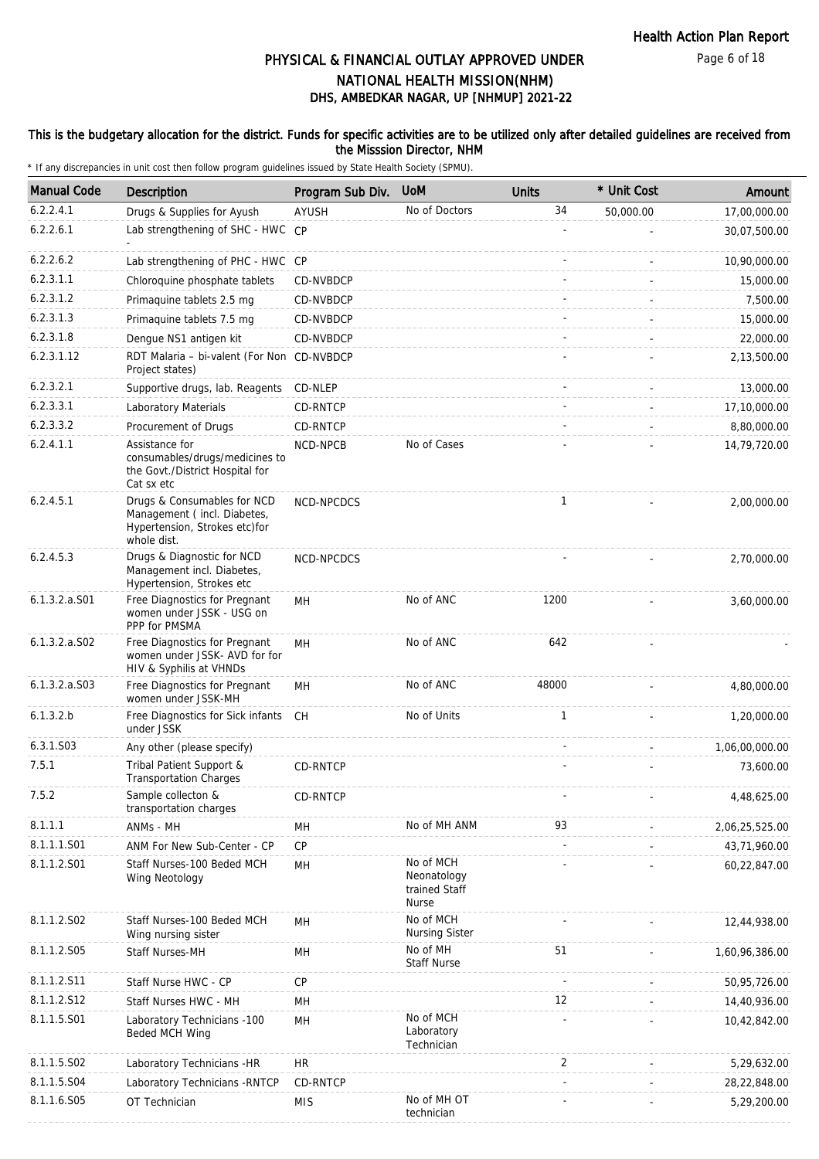Page 6 of 18

# DHS, AMBEDKAR NAGAR, UP [NHMUP] 2021-22 PHYSICAL & FINANCIAL OUTLAY APPROVED UNDER NATIONAL HEALTH MISSION(NHM)

## This is the budgetary allocation for the district. Funds for specific activities are to be utilized only after detailed guidelines are received from the Misssion Director, NHM

| <b>Manual Code</b> | Description                                                                                                | Program Sub Div. | <b>UoM</b>                                                | <b>Units</b> | * Unit Cost | Amount         |
|--------------------|------------------------------------------------------------------------------------------------------------|------------------|-----------------------------------------------------------|--------------|-------------|----------------|
| 6.2.2.4.1          | Drugs & Supplies for Ayush                                                                                 | AYUSH            | No of Doctors                                             | 34           | 50,000.00   | 17,00,000.00   |
| 6.2.2.6.1          | Lab strengthening of SHC - HWC CP                                                                          |                  |                                                           |              |             | 30,07,500.00   |
| 6.2.2.6.2          | Lab strengthening of PHC - HWC CP                                                                          |                  |                                                           |              |             | 10,90,000.00   |
| 6.2.3.1.1          | Chloroquine phosphate tablets                                                                              | CD-NVBDCP        |                                                           |              |             | 15,000.00      |
| 6.2.3.1.2          | Primaguine tablets 2.5 mg                                                                                  | CD-NVBDCP        |                                                           |              |             | 7,500.00       |
| 6.2.3.1.3          | Primaquine tablets 7.5 mg                                                                                  | CD-NVBDCP        |                                                           |              |             | 15,000.00      |
| 6.2.3.1.8          | Dengue NS1 antigen kit                                                                                     | CD-NVBDCP        |                                                           |              |             | 22,000.00      |
| 6.2.3.1.12         | RDT Malaria - bi-valent (For Non CD-NVBDCP<br>Project states)                                              |                  |                                                           |              |             | 2,13,500.00    |
| 6.2.3.2.1          | Supportive drugs, lab. Reagents                                                                            | CD-NLEP          |                                                           |              |             | 13,000.00      |
| 6.2.3.3.1          | Laboratory Materials                                                                                       | CD-RNTCP         |                                                           |              |             | 17,10,000.00   |
| 6.2.3.3.2          | Procurement of Drugs                                                                                       | CD-RNTCP         |                                                           |              |             | 8,80,000.00    |
| 6.2.4.1.1          | Assistance for<br>consumables/drugs/medicines to<br>the Govt./District Hospital for<br>Cat sx etc          | NCD-NPCB         | No of Cases                                               |              |             | 14,79,720.00   |
| 6.2.4.5.1          | Drugs & Consumables for NCD<br>Management (incl. Diabetes,<br>Hypertension, Strokes etc)for<br>whole dist. | NCD-NPCDCS       |                                                           | $\mathbf{1}$ |             | 2,00,000.00    |
| 6.2.4.5.3          | Drugs & Diagnostic for NCD<br>Management incl. Diabetes,<br>Hypertension, Strokes etc                      | NCD-NPCDCS       |                                                           |              |             | 2,70,000.00    |
| $6.1.3.2.a.$ S01   | Free Diagnostics for Pregnant<br>women under JSSK - USG on<br>PPP for PMSMA                                | MН               | No of ANC                                                 | 1200         |             | 3,60,000.00    |
| $6.1.3.2.a.$ SO2   | Free Diagnostics for Pregnant<br>women under JSSK- AVD for for<br>HIV & Syphilis at VHNDs                  | MH               | No of ANC                                                 | 642          |             |                |
| 6.1.3.2.a.S03      | Free Diagnostics for Pregnant<br>women under JSSK-MH                                                       | MН               | No of ANC                                                 | 48000        |             | 4,80,000.00    |
| 6.1.3.2.b          | Free Diagnostics for Sick infants<br>under JSSK                                                            | CH               | No of Units                                               | $\mathbf{1}$ |             | 1,20,000.00    |
| 6.3.1.S03          | Any other (please specify)                                                                                 |                  |                                                           |              |             | 1,06,00,000.00 |
| 7.5.1              | Tribal Patient Support &<br><b>Transportation Charges</b>                                                  | CD-RNTCP         |                                                           |              |             | 73,600.00      |
| 7.5.2              | Sample collecton &<br>transportation charges                                                               | CD-RNTCP         |                                                           |              |             | 4,48,625.00    |
| 8.1.1.1            | ANMs - MH                                                                                                  | MН               | No of MH ANM                                              | 93           |             | 2,06,25,525.00 |
| 8.1.1.1.S01        | ANM For New Sub-Center - CP                                                                                | CP               |                                                           |              |             | 43,71,960.00   |
| 8.1.1.2.S01        | Staff Nurses-100 Beded MCH<br>Wing Neotology                                                               | MH               | No of MCH<br>Neonatology<br>trained Staff<br><b>Nurse</b> |              |             | 60,22,847.00   |
| 8.1.1.2.S02        | Staff Nurses-100 Beded MCH<br>Wing nursing sister                                                          | MН               | No of MCH<br><b>Nursing Sister</b>                        |              |             | 12,44,938.00   |
| 8.1.1.2.S05        | Staff Nurses-MH                                                                                            | MН               | No of MH<br><b>Staff Nurse</b>                            | 51           |             | 1,60,96,386.00 |
| 8.1.1.2.S11        | Staff Nurse HWC - CP                                                                                       | <b>CP</b>        |                                                           |              |             | 50,95,726.00   |
| 8.1.1.2.S12        | Staff Nurses HWC - MH                                                                                      | MH               |                                                           | 12           |             | 14,40,936.00   |
| 8.1.1.5.S01        | Laboratory Technicians -100<br>Beded MCH Wing                                                              | MH               | No of MCH<br>Laboratory<br>Technician                     |              |             | 10,42,842.00   |
| 8.1.1.5.S02        | Laboratory Technicians -HR                                                                                 | <b>HR</b>        |                                                           | 2            |             | 5,29,632.00    |
| 8.1.1.5.S04        | Laboratory Technicians - RNTCP                                                                             | CD-RNTCP         |                                                           |              |             | 28,22,848.00   |
| 8.1.1.6.S05        | OT Technician                                                                                              | <b>MIS</b>       | No of MH OT<br>technician                                 |              |             | 5,29,200.00    |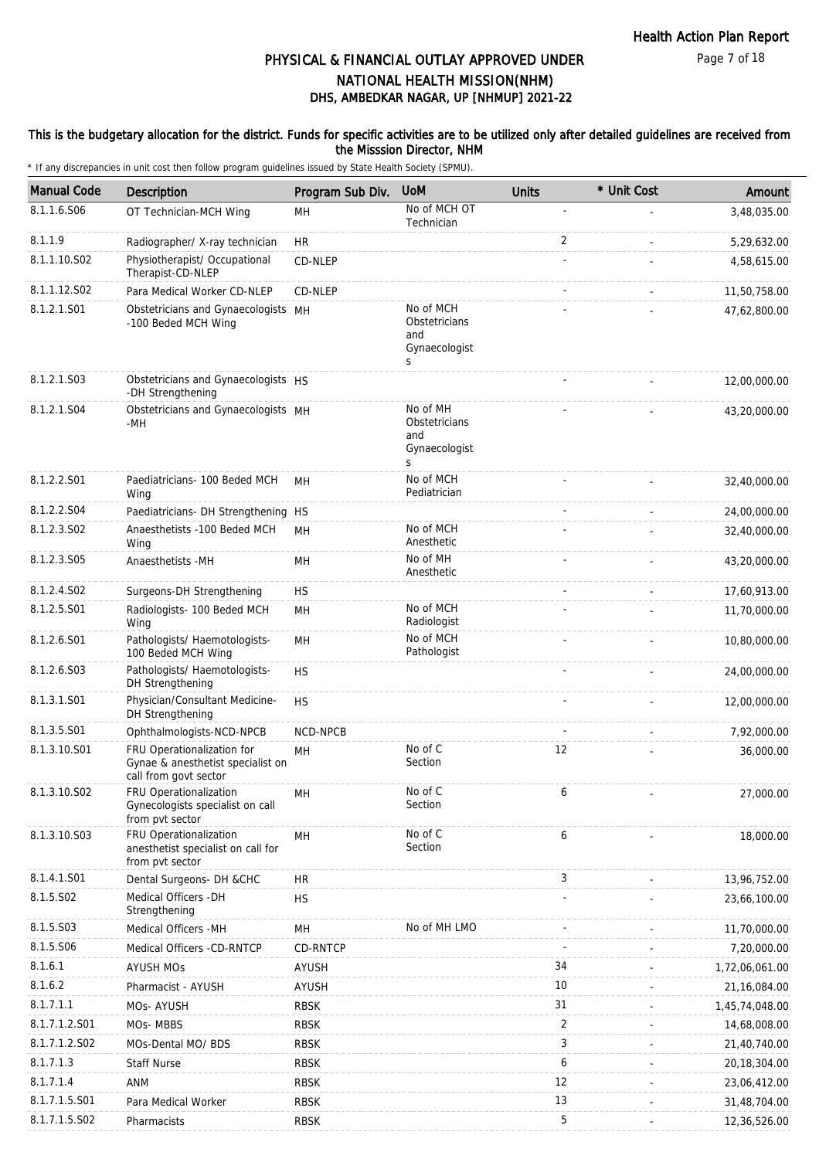Page 7 of 18

# DHS, AMBEDKAR NAGAR, UP [NHMUP] 2021-22 PHYSICAL & FINANCIAL OUTLAY APPROVED UNDER NATIONAL HEALTH MISSION(NHM)

## This is the budgetary allocation for the district. Funds for specific activities are to be utilized only after detailed guidelines are received from the Misssion Director, NHM

| <b>Manual Code</b> | Description                                                                              | Program Sub Div. | <b>UoM</b>                                                         | <b>Units</b>   | * Unit Cost | Amount         |
|--------------------|------------------------------------------------------------------------------------------|------------------|--------------------------------------------------------------------|----------------|-------------|----------------|
| 8.1.1.6.S06        | OT Technician-MCH Wing                                                                   | MН               | No of MCH OT<br>Technician                                         |                |             | 3,48,035.00    |
| 8.1.1.9            | Radiographer/ X-ray technician                                                           | <b>HR</b>        |                                                                    | $\overline{2}$ |             | 5,29,632.00    |
| 8.1.1.10.S02       | Physiotherapist/ Occupational<br>Therapist-CD-NLEP                                       | CD-NLEP          |                                                                    |                |             | 4,58,615.00    |
| 8.1.1.12.S02       | Para Medical Worker CD-NLEP                                                              | CD-NLEP          |                                                                    |                |             | 11,50,758.00   |
| 8.1.2.1.S01        | Obstetricians and Gynaecologists MH<br>-100 Beded MCH Wing                               |                  | No of MCH<br>Obstetricians<br>and<br>Gynaecologist<br><sub>S</sub> |                |             | 47,62,800.00   |
| 8.1.2.1.S03        | Obstetricians and Gynaecologists HS<br>-DH Strengthening                                 |                  |                                                                    |                |             | 12,00,000.00   |
| 8.1.2.1.S04        | Obstetricians and Gynaecologists MH<br>-MH                                               |                  | No of MH<br>Obstetricians<br>and<br>Gynaecologist<br>S             |                |             | 43,20,000.00   |
| 8.1.2.2.S01        | Paediatricians- 100 Beded MCH<br>Wing                                                    | MH               | No of MCH<br>Pediatrician                                          |                |             | 32,40,000.00   |
| 8.1.2.2.S04        | Paediatricians- DH Strengthening HS                                                      |                  |                                                                    |                |             | 24,00,000.00   |
| 8.1.2.3.S02        | Anaesthetists -100 Beded MCH<br>Wing                                                     | <b>MH</b>        | No of MCH<br>Anesthetic                                            |                |             | 32,40,000.00   |
| 8.1.2.3.S05        | Anaesthetists -MH                                                                        | MН               | No of MH<br>Anesthetic                                             |                |             | 43,20,000.00   |
| 8.1.2.4.SO2        | Surgeons-DH Strengthening                                                                | <b>HS</b>        |                                                                    |                |             | 17,60,913.00   |
| 8.1.2.5.S01        | Radiologists- 100 Beded MCH<br>Wing                                                      | MH               | No of MCH<br>Radiologist                                           |                |             | 11,70,000.00   |
| 8.1.2.6.S01        | Pathologists/ Haemotologists-<br>100 Beded MCH Wing                                      | MН               | No of MCH<br>Pathologist                                           |                |             | 10,80,000.00   |
| 8.1.2.6.S03        | Pathologists/ Haemotologists-<br>DH Strengthening                                        | <b>HS</b>        |                                                                    |                |             | 24,00,000.00   |
| 8.1.3.1.S01        | Physician/Consultant Medicine-<br>DH Strengthening                                       | <b>HS</b>        |                                                                    |                |             | 12,00,000.00   |
| 8.1.3.5.S01        | Ophthalmologists-NCD-NPCB                                                                | NCD-NPCB         |                                                                    |                |             | 7,92,000.00    |
| 8.1.3.10.S01       | FRU Operationalization for<br>Gynae & anesthetist specialist on<br>call from govt sector | MH               | No of C<br>Section                                                 | 12             |             | 36,000.00      |
| 8.1.3.10.S02       | FRU Operationalization<br>Gynecologists specialist on call<br>from pvt sector            | MН               | No of C<br>Section                                                 | 6              |             | 27,000.00      |
| 8.1.3.10.S03       | FRU Operationalization<br>anesthetist specialist on call for<br>from pvt sector          | MH               | No of C<br>Section                                                 | 6              |             | 18,000.00      |
| 8.1.4.1.S01        | Dental Surgeons- DH &CHC                                                                 | HR               |                                                                    | 3              |             | 13,96,752.00   |
| 8.1.5.S02          | Medical Officers - DH<br>Strengthening                                                   | <b>HS</b>        |                                                                    |                |             | 23,66,100.00   |
| 8.1.5.S03          | Medical Officers -MH                                                                     | MH               | No of MH LMO                                                       |                |             | 11,70,000.00   |
| 8.1.5.S06          | Medical Officers -CD-RNTCP                                                               | CD-RNTCP         |                                                                    |                |             | 7,20,000.00    |
| 8.1.6.1            | <b>AYUSH MOS</b>                                                                         | <b>AYUSH</b>     |                                                                    | 34             |             | 1,72,06,061.00 |
| 8.1.6.2            | Pharmacist - AYUSH                                                                       | <b>AYUSH</b>     |                                                                    | 10             |             | 21,16,084.00   |
| 8.1.7.1.1          | MOs-AYUSH                                                                                | <b>RBSK</b>      |                                                                    | 31             |             | 1,45,74,048.00 |
| 8.1.7.1.2.S01      | MOs-MBBS                                                                                 | <b>RBSK</b>      |                                                                    | 2              |             | 14,68,008.00   |
| 8.1.7.1.2.S02      | MOs-Dental MO/ BDS                                                                       | <b>RBSK</b>      |                                                                    | 3              |             | 21,40,740.00   |
| 8.1.7.1.3          | <b>Staff Nurse</b>                                                                       | <b>RBSK</b>      |                                                                    | 6              |             | 20,18,304.00   |
| 8.1.7.1.4          | ANM                                                                                      | <b>RBSK</b>      |                                                                    | 12             |             | 23,06,412.00   |
| 8.1.7.1.5.S01      | Para Medical Worker                                                                      | <b>RBSK</b>      |                                                                    | 13             |             | 31,48,704.00   |
| 8.1.7.1.5.S02      | Pharmacists                                                                              | <b>RBSK</b>      |                                                                    | 5              |             | 12,36,526.00   |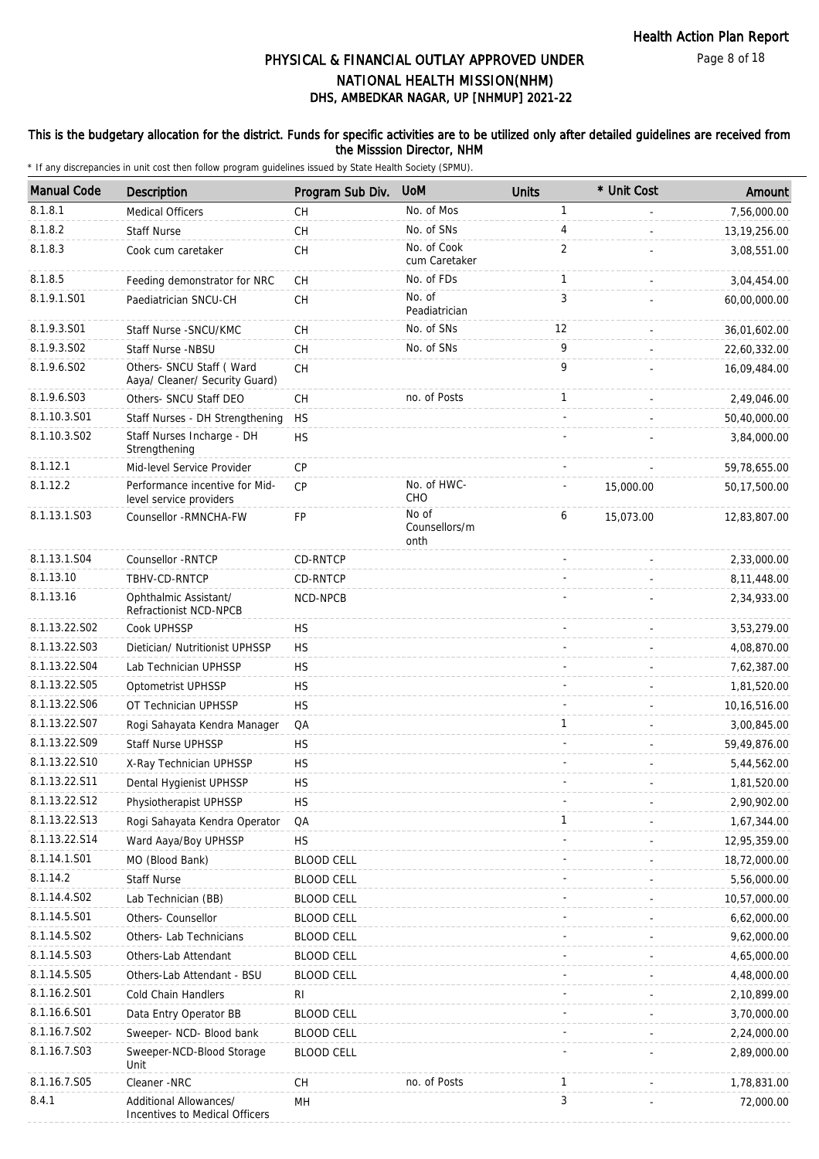Page 8 of 18

# DHS, AMBEDKAR NAGAR, UP [NHMUP] 2021-22 PHYSICAL & FINANCIAL OUTLAY APPROVED UNDER NATIONAL HEALTH MISSION(NHM)

## This is the budgetary allocation for the district. Funds for specific activities are to be utilized only after detailed guidelines are received from the Misssion Director, NHM

| <b>Manual Code</b> | Description                                                 | Program Sub Div.  | <b>UoM</b>                     | <b>Units</b>   | * Unit Cost | Amount         |
|--------------------|-------------------------------------------------------------|-------------------|--------------------------------|----------------|-------------|----------------|
| 8.1.8.1            | Medical Officers                                            | <b>CH</b>         | No. of Mos                     | $\mathbf{1}$   |             | 7,56,000.00    |
| 8.1.8.2            | <b>Staff Nurse</b>                                          | <b>CH</b>         | No. of SNs                     | 4              |             | 13, 19, 256.00 |
| 8.1.8.3            | Cook cum caretaker                                          | CH                | No. of Cook<br>cum Caretaker   | $\overline{2}$ |             | 3,08,551.00    |
| 8.1.8.5            | Feeding demonstrator for NRC                                | <b>CH</b>         | No. of FDs                     | 1              | ÷.          | 3,04,454.00    |
| 8.1.9.1.S01        | Paediatrician SNCU-CH                                       | CH                | No. of<br>Peadiatrician        | 3              |             | 60,00,000.00   |
| 8.1.9.3.S01        | Staff Nurse - SNCU/KMC                                      | СH                | No. of SNs                     | 12             |             | 36,01,602.00   |
| 8.1.9.3.SO2        | Staff Nurse -NBSU                                           | CH                | No. of SNs                     | 9              |             | 22,60,332.00   |
| 8.1.9.6.S02        | Others- SNCU Staff ( Ward<br>Aaya/ Cleaner/ Security Guard) | <b>CH</b>         |                                | 9              |             | 16,09,484.00   |
| 8.1.9.6.S03        | Others- SNCU Staff DEO                                      | CH                | no. of Posts                   | 1              |             | 2,49,046.00    |
| 8.1.10.3.S01       | Staff Nurses - DH Strengthening                             | <b>HS</b>         |                                |                |             | 50,40,000.00   |
| 8.1.10.3.S02       | Staff Nurses Incharge - DH<br>Strengthening                 | <b>HS</b>         |                                |                |             | 3,84,000.00    |
| 8.1.12.1           | Mid-level Service Provider                                  | CP                |                                |                |             | 59,78,655.00   |
| 8.1.12.2           | Performance incentive for Mid-<br>level service providers   | <b>CP</b>         | No. of HWC-<br>CHO             |                | 15,000.00   | 50,17,500.00   |
| 8.1.13.1.S03       | Counsellor - RMNCHA-FW                                      | FP                | No of<br>Counsellors/m<br>onth | 6              | 15,073.00   | 12,83,807.00   |
| 8.1.13.1.S04       | Counsellor - RNTCP                                          | CD-RNTCP          |                                |                |             | 2,33,000.00    |
| 8.1.13.10          | TBHV-CD-RNTCP                                               | CD-RNTCP          |                                |                |             | 8,11,448.00    |
| 8.1.13.16          | Ophthalmic Assistant/<br>Refractionist NCD-NPCB             | NCD-NPCB          |                                |                |             | 2,34,933.00    |
| 8.1.13.22.S02      | Cook UPHSSP                                                 | <b>HS</b>         |                                |                |             | 3,53,279.00    |
| 8.1.13.22.S03      | Dietician/ Nutritionist UPHSSP                              | <b>HS</b>         |                                |                |             | 4,08,870.00    |
| 8.1.13.22.S04      | Lab Technician UPHSSP                                       | <b>HS</b>         |                                |                |             | 7,62,387.00    |
| 8.1.13.22.S05      | Optometrist UPHSSP                                          | <b>HS</b>         |                                |                |             | 1,81,520.00    |
| 8.1.13.22.S06      | OT Technician UPHSSP                                        | <b>HS</b>         |                                |                |             | 10,16,516.00   |
| 8.1.13.22.S07      | Rogi Sahayata Kendra Manager                                | QA                |                                | 1              |             | 3,00,845.00    |
| 8.1.13.22.S09      | Staff Nurse UPHSSP                                          | <b>HS</b>         |                                |                |             | 59,49,876.00   |
| 8.1.13.22.S10      | X-Ray Technician UPHSSP                                     | <b>HS</b>         |                                |                |             | 5,44,562.00    |
| 8.1.13.22.S11      | Dental Hygienist UPHSSP                                     | <b>HS</b>         |                                |                |             | 1,81,520.00    |
| 8.1.13.22.S12      | Physiotherapist UPHSSP                                      | <b>HS</b>         |                                |                |             | 2,90,902.00    |
| 8.1.13.22.S13      | Rogi Sahayata Kendra Operator                               | QA                |                                | 1              |             | 1,67,344.00    |
| 8.1.13.22.S14      | Ward Aaya/Boy UPHSSP                                        | <b>HS</b>         |                                |                |             | 12,95,359.00   |
| 8.1.14.1.S01       | MO (Blood Bank)                                             | <b>BLOOD CELL</b> |                                |                |             | 18,72,000.00   |
| 8.1.14.2           | <b>Staff Nurse</b>                                          | <b>BLOOD CELL</b> |                                |                |             | 5,56,000.00    |
| 8.1.14.4.S02       | Lab Technician (BB)                                         | <b>BLOOD CELL</b> |                                |                |             | 10,57,000.00   |
| 8.1.14.5.S01       | Others- Counsellor                                          | <b>BLOOD CELL</b> |                                |                |             | 6,62,000.00    |
| 8.1.14.5.S02       | Others- Lab Technicians                                     | <b>BLOOD CELL</b> |                                |                |             | 9,62,000.00    |
| 8.1.14.5.S03       | Others-Lab Attendant                                        | <b>BLOOD CELL</b> |                                |                |             | 4,65,000.00    |
| 8.1.14.5.S05       | Others-Lab Attendant - BSU                                  | <b>BLOOD CELL</b> |                                |                |             | 4,48,000.00    |
| 8.1.16.2.S01       | Cold Chain Handlers                                         | RI                |                                |                |             | 2,10,899.00    |
| 8.1.16.6.S01       | Data Entry Operator BB                                      | <b>BLOOD CELL</b> |                                |                |             | 3,70,000.00    |
| 8.1.16.7.S02       | Sweeper- NCD- Blood bank                                    | <b>BLOOD CELL</b> |                                |                |             | 2,24,000.00    |
| 8.1.16.7.S03       | Sweeper-NCD-Blood Storage<br>Unit                           | <b>BLOOD CELL</b> |                                |                |             | 2,89,000.00    |
| 8.1.16.7.S05       | Cleaner -NRC                                                | <b>CH</b>         | no. of Posts                   | 1              |             | 1,78,831.00    |
| 8.4.1              | Additional Allowances/<br>Incentives to Medical Officers    | MH                |                                | 3              |             | 72,000.00      |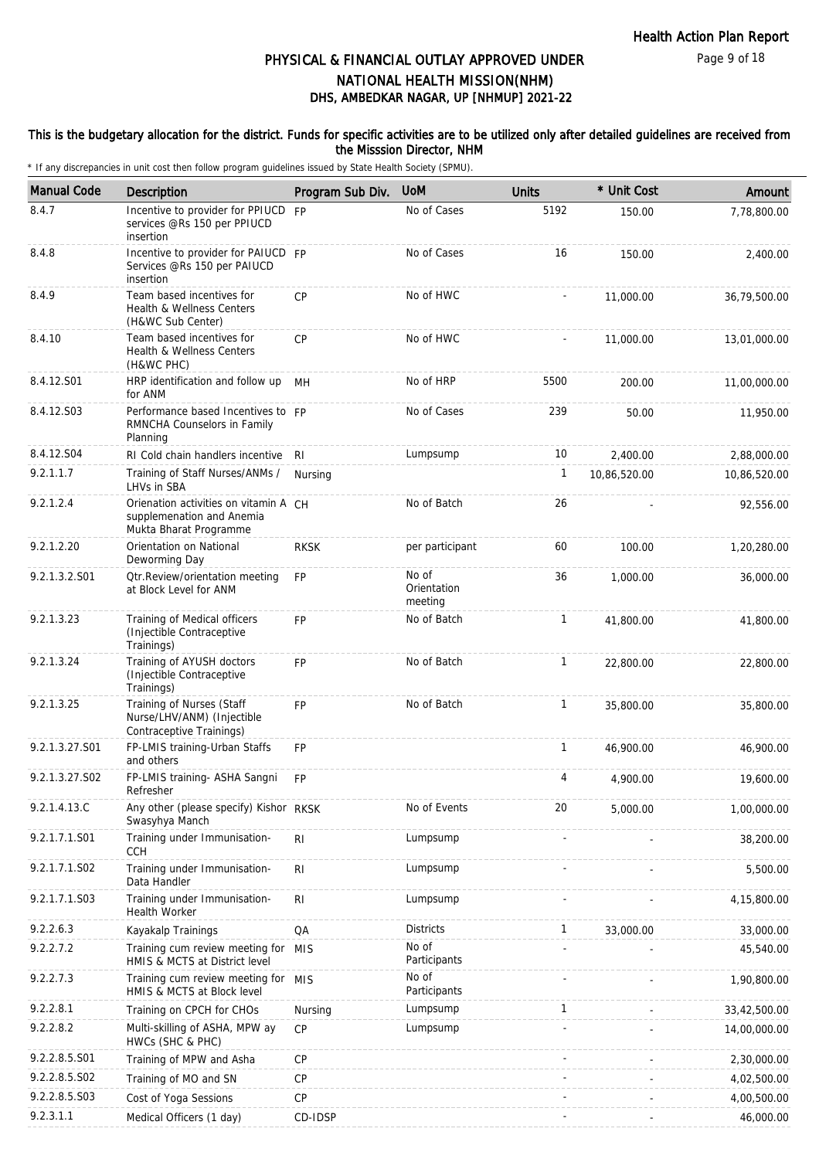Page 9 of 18

# DHS, AMBEDKAR NAGAR, UP [NHMUP] 2021-22 PHYSICAL & FINANCIAL OUTLAY APPROVED UNDER NATIONAL HEALTH MISSION(NHM)

## This is the budgetary allocation for the district. Funds for specific activities are to be utilized only after detailed guidelines are received from the Misssion Director, NHM

| <b>Manual Code</b> | Description                                                                                  | Program Sub Div. | <b>UoM</b>                      | <b>Units</b> | * Unit Cost  | Amount       |
|--------------------|----------------------------------------------------------------------------------------------|------------------|---------------------------------|--------------|--------------|--------------|
| 8.4.7              | Incentive to provider for PPIUCD FP<br>services @Rs 150 per PPIUCD<br>insertion              |                  | No of Cases                     | 5192         | 150.00       | 7,78,800.00  |
| 8.4.8              | Incentive to provider for PAIUCD FP<br>Services @Rs 150 per PAIUCD<br>insertion              |                  | No of Cases                     | 16           | 150.00       | 2,400.00     |
| 8.4.9              | Team based incentives for<br>Health & Wellness Centers<br>(H&WC Sub Center)                  | CP               | No of HWC                       |              | 11,000.00    | 36,79,500.00 |
| 8.4.10             | Team based incentives for<br>Health & Wellness Centers<br>(H&WC PHC)                         | <b>CP</b>        | No of HWC                       |              | 11,000.00    | 13,01,000.00 |
| 8.4.12.S01         | HRP identification and follow up<br>for ANM                                                  | MH               | No of HRP                       | 5500         | 200.00       | 11,00,000.00 |
| 8.4.12.S03         | Performance based Incentives to FP<br>RMNCHA Counselors in Family<br>Planning                |                  | No of Cases                     | 239          | 50.00        | 11,950.00    |
| 8.4.12.S04         | RI Cold chain handlers incentive                                                             | -RI              | Lumpsump                        | 10           | 2,400.00     | 2,88,000.00  |
| 9.2.1.1.7          | Training of Staff Nurses/ANMs /<br>LHVs in SBA                                               | Nursing          |                                 | 1            | 10,86,520.00 | 10,86,520.00 |
| 9.2.1.2.4          | Orienation activities on vitamin A CH<br>supplemenation and Anemia<br>Mukta Bharat Programme |                  | No of Batch                     | 26           |              | 92,556.00    |
| 9.2.1.2.20         | Orientation on National<br>Deworming Day                                                     | <b>RKSK</b>      | per participant                 | 60           | 100.00       | 1,20,280.00  |
| 9.2.1.3.2.S01      | <b>Qtr.Review/orientation meeting</b><br>at Block Level for ANM                              | <b>FP</b>        | No of<br>Orientation<br>meeting | 36           | 1,000.00     | 36,000.00    |
| 9.2.1.3.23         | Training of Medical officers<br>(Injectible Contraceptive<br>Trainings)                      | <b>FP</b>        | No of Batch                     | $\mathbf{1}$ | 41,800.00    | 41,800.00    |
| 9.2.1.3.24         | Training of AYUSH doctors<br>(Injectible Contraceptive<br>Trainings)                         | <b>FP</b>        | No of Batch                     | $\mathbf{1}$ | 22,800.00    | 22,800.00    |
| 9.2.1.3.25         | Training of Nurses (Staff<br>Nurse/LHV/ANM) (Injectible<br>Contraceptive Trainings)          | FP               | No of Batch                     | $\mathbf{1}$ | 35,800.00    | 35,800.00    |
| 9.2.1.3.27.S01     | FP-LMIS training-Urban Staffs<br>and others                                                  | FP               |                                 | $\mathbf{1}$ | 46,900.00    | 46,900.00    |
| 9.2.1.3.27.S02     | FP-LMIS training- ASHA Sangni<br>Refresher                                                   | <b>FP</b>        |                                 | 4            | 4,900.00     | 19,600.00    |
| 9.2.1.4.13.C       | Any other (please specify) Kishor RKSK<br>Swasyhya Manch                                     |                  | No of Events                    | 20           | 5,000.00     | 1,00,000.00  |
| 9.2.1.7.1.S01      | Training under Immunisation-<br><b>CCH</b>                                                   | R <sub>l</sub>   | Lumpsump                        |              |              | 38,200.00    |
| 9.2.1.7.1.S02      | Training under Immunisation-<br>Data Handler                                                 | $\mathsf{RI}$    | Lumpsump                        |              |              | 5,500.00     |
| 9.2.1.7.1.S03      | Training under Immunisation-<br>Health Worker                                                | R <sub>l</sub>   | Lumpsump                        |              |              | 4,15,800.00  |
| 9.2.2.6.3          | Kayakalp Trainings                                                                           | QA               | <b>Districts</b>                | $\mathbf{1}$ | 33,000.00    | 33,000.00    |
| 9.2.2.7.2          | Training cum review meeting for MIS<br>HMIS & MCTS at District level                         |                  | No of<br>Participants           |              |              | 45,540.00    |
| 9.2.2.7.3          | Training cum review meeting for MIS<br>HMIS & MCTS at Block level                            |                  | No of<br>Participants           |              |              | 1,90,800.00  |
| 9.2.2.8.1          | Training on CPCH for CHOs                                                                    | Nursing          | Lumpsump                        | $\mathbf{1}$ |              | 33,42,500.00 |
| 9.2.2.8.2          | Multi-skilling of ASHA, MPW ay<br>HWCs (SHC & PHC)                                           | <b>CP</b>        | Lumpsump                        |              |              | 14,00,000.00 |
| 9.2.2.8.5.S01      | Training of MPW and Asha                                                                     | CP               |                                 |              |              | 2,30,000.00  |
| 9.2.2.8.5.S02      | Training of MO and SN                                                                        | CP               |                                 |              |              | 4,02,500.00  |
| 9.2.2.8.5.S03      | Cost of Yoga Sessions                                                                        | CP               |                                 |              |              | 4,00,500.00  |
| 9.2.3.1.1          | Medical Officers (1 day)                                                                     | CD-IDSP          |                                 |              |              | 46,000.00    |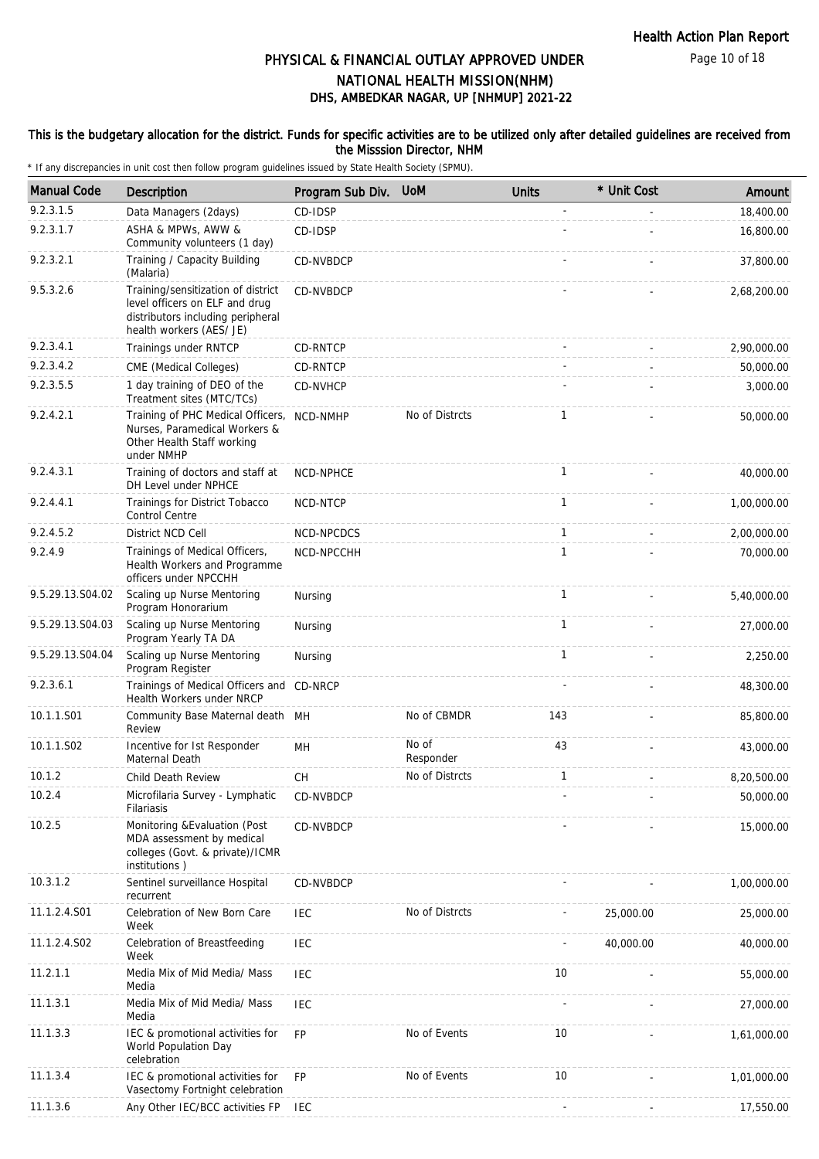Page 10 of 18

# DHS, AMBEDKAR NAGAR, UP [NHMUP] 2021-22 PHYSICAL & FINANCIAL OUTLAY APPROVED UNDER NATIONAL HEALTH MISSION(NHM)

### This is the budgetary allocation for the district. Funds for specific activities are to be utilized only after detailed guidelines are received from the Misssion Director, NHM

| <b>Manual Code</b> | Description                                                                                                                           | Program Sub Div. | <b>UoM</b>         | <b>Units</b> | * Unit Cost | Amount      |
|--------------------|---------------------------------------------------------------------------------------------------------------------------------------|------------------|--------------------|--------------|-------------|-------------|
| 9.2.3.1.5          | Data Managers (2days)                                                                                                                 | CD-IDSP          |                    |              |             | 18,400.00   |
| 9.2.3.1.7          | ASHA & MPWs, AWW &<br>Community volunteers (1 day)                                                                                    | CD-IDSP          |                    |              |             | 16,800.00   |
| 9.2.3.2.1          | Training / Capacity Building<br>(Malaria)                                                                                             | CD-NVBDCP        |                    |              |             | 37,800.00   |
| 9.5.3.2.6          | Training/sensitization of district<br>level officers on ELF and drug<br>distributors including peripheral<br>health workers (AES/ JE) | CD-NVBDCP        |                    |              |             | 2,68,200.00 |
| 9.2.3.4.1          | Trainings under RNTCP                                                                                                                 | <b>CD-RNTCP</b>  |                    |              |             | 2,90,000.00 |
| 9.2.3.4.2          | CME (Medical Colleges)                                                                                                                | CD-RNTCP         |                    |              |             | 50,000.00   |
| 9.2.3.5.5          | 1 day training of DEO of the<br>Treatment sites (MTC/TCs)                                                                             | CD-NVHCP         |                    |              |             | 3,000.00    |
| 9.2.4.2.1          | Training of PHC Medical Officers,<br>Nurses, Paramedical Workers &<br>Other Health Staff working<br>under NMHP                        | NCD-NMHP         | No of Distrcts     | 1            |             | 50,000.00   |
| 9.2.4.3.1          | Training of doctors and staff at<br>DH Level under NPHCE                                                                              | NCD-NPHCE        |                    | $\mathbf{1}$ |             | 40,000.00   |
| 9.2.4.4.1          | Trainings for District Tobacco<br><b>Control Centre</b>                                                                               | <b>NCD-NTCP</b>  |                    | $\mathbf{1}$ |             | 1,00,000.00 |
| 9.2.4.5.2          | District NCD Cell                                                                                                                     | NCD-NPCDCS       |                    | $\mathbf{1}$ |             | 2,00,000.00 |
| 9.2.4.9            | Trainings of Medical Officers,<br>Health Workers and Programme<br>officers under NPCCHH                                               | NCD-NPCCHH       |                    | 1            |             | 70,000.00   |
| 9.5.29.13.S04.02   | Scaling up Nurse Mentoring<br>Program Honorarium                                                                                      | Nursing          |                    | $\mathbf{1}$ |             | 5,40,000.00 |
| 9.5.29.13.S04.03   | Scaling up Nurse Mentoring<br>Program Yearly TA DA                                                                                    | Nursing          |                    | $\mathbf{1}$ |             | 27,000.00   |
| 9.5.29.13.S04.04   | Scaling up Nurse Mentoring<br>Program Register                                                                                        | Nursing          |                    | $\mathbf{1}$ |             | 2,250.00    |
| 9.2.3.6.1          | Trainings of Medical Officers and CD-NRCP<br>Health Workers under NRCP                                                                |                  |                    |              |             | 48,300.00   |
| 10.1.1.S01         | Community Base Maternal death MH<br>Review                                                                                            |                  | No of CBMDR        | 143          |             | 85,800.00   |
| 10.1.1.S02         | Incentive for Ist Responder<br>Maternal Death                                                                                         | MH               | No of<br>Responder | 43           |             | 43,000.00   |
| 10.1.2             | Child Death Review                                                                                                                    | СH               | No of Distrcts     | 1            |             | 8,20,500.00 |
| 10.2.4             | Microfilaria Survey - Lymphatic<br>Filariasis                                                                                         | CD-NVBDCP        |                    |              |             | 50,000.00   |
| 10.2.5             | Monitoring & Evaluation (Post<br>MDA assessment by medical<br>colleges (Govt. & private)/ICMR<br>institutions)                        | CD-NVBDCP        |                    |              |             | 15,000.00   |
| 10.3.1.2           | Sentinel surveillance Hospital<br>recurrent                                                                                           | CD-NVBDCP        |                    |              |             | 1,00,000.00 |
| 11.1.2.4.S01       | Celebration of New Born Care<br>Week                                                                                                  | IEC              | No of Distrcts     |              | 25,000.00   | 25,000.00   |
| 11.1.2.4.S02       | Celebration of Breastfeeding<br>Week                                                                                                  | <b>IEC</b>       |                    |              | 40,000.00   | 40,000.00   |
| 11.2.1.1           | Media Mix of Mid Media/ Mass<br>Media                                                                                                 | <b>IEC</b>       |                    | 10           |             | 55,000.00   |
| 11.1.3.1           | Media Mix of Mid Media/ Mass<br>Media                                                                                                 | <b>IEC</b>       |                    |              |             | 27,000.00   |
| 11.1.3.3           | IEC & promotional activities for<br>World Population Day<br>celebration                                                               | <b>FP</b>        | No of Events       | 10           |             | 1,61,000.00 |
| 11.1.3.4           | IEC & promotional activities for<br>Vasectomy Fortnight celebration                                                                   | <b>FP</b>        | No of Events       | 10           |             | 1,01,000.00 |
| 11.1.3.6           | Any Other IEC/BCC activities FP                                                                                                       | IEC              |                    |              |             | 17,550.00   |
|                    |                                                                                                                                       |                  |                    |              |             |             |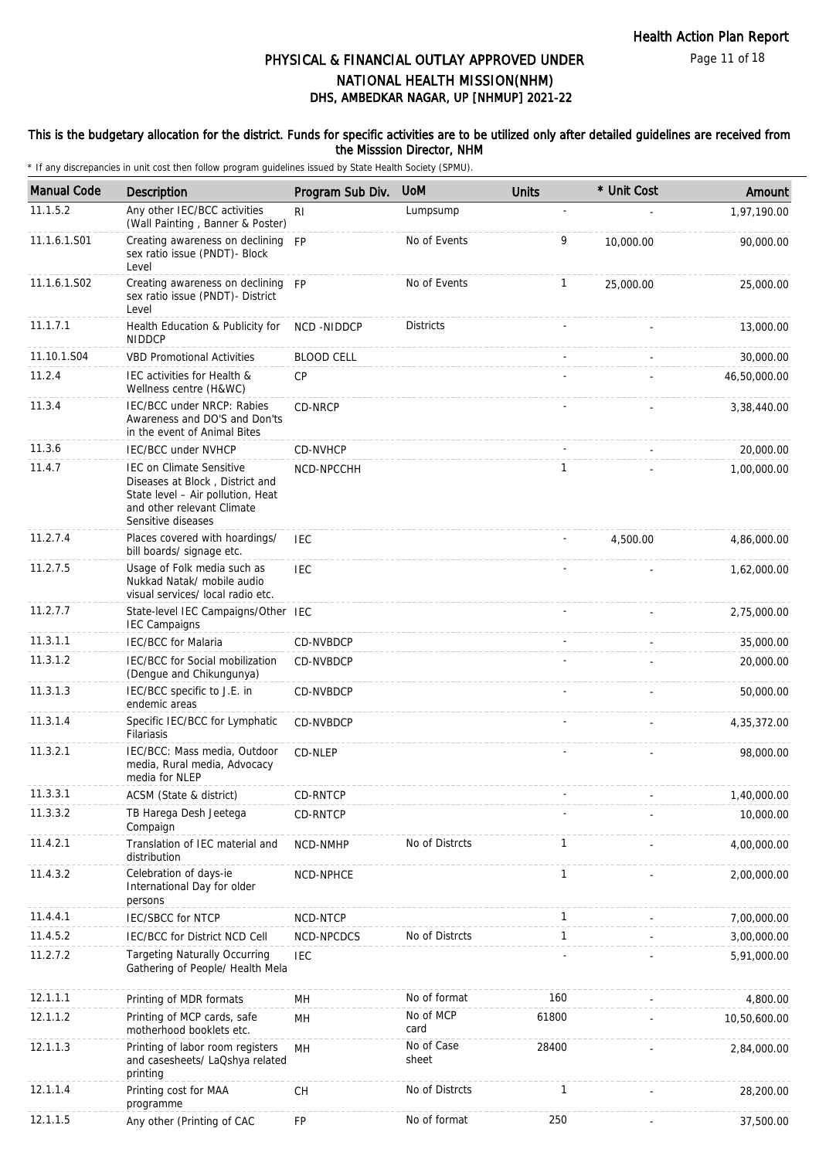### This is the budgetary allocation for the district. Funds for specific activities are to be utilized only after detailed guidelines are received from the Misssion Director, NHM

| <b>Manual Code</b> | Description                                                                                                                                          | Program Sub Div.  | <b>UoM</b>          | <b>Units</b> | * Unit Cost | Amount       |
|--------------------|------------------------------------------------------------------------------------------------------------------------------------------------------|-------------------|---------------------|--------------|-------------|--------------|
| 11.1.5.2           | Any other IEC/BCC activities<br>(Wall Painting, Banner & Poster)                                                                                     | R <sub>l</sub>    | Lumpsump            | L,           |             | 1,97,190.00  |
| 11.1.6.1.S01       | Creating awareness on declining FP<br>sex ratio issue (PNDT)- Block<br>Level                                                                         |                   | No of Events        | 9            | 10,000.00   | 90,000.00    |
| 11.1.6.1.S02       | Creating awareness on declining FP<br>sex ratio issue (PNDT)- District<br>Level                                                                      |                   | No of Events        | $\mathbf{1}$ | 25,000.00   | 25,000.00    |
| 11.1.7.1           | Health Education & Publicity for<br><b>NIDDCP</b>                                                                                                    | NCD-NIDDCP        | <b>Districts</b>    |              |             | 13,000.00    |
| 11.10.1.S04        | <b>VBD Promotional Activities</b>                                                                                                                    | <b>BLOOD CELL</b> |                     |              |             | 30,000.00    |
| 11.2.4             | IEC activities for Health &<br>Wellness centre (H&WC)                                                                                                | CP                |                     |              |             | 46,50,000.00 |
| 11.3.4             | IEC/BCC under NRCP: Rabies<br>Awareness and DO'S and Don'ts<br>in the event of Animal Bites                                                          | CD-NRCP           |                     |              |             | 3,38,440.00  |
| 11.3.6             | <b>IEC/BCC under NVHCP</b>                                                                                                                           | CD-NVHCP          |                     |              |             | 20,000.00    |
| 11.4.7             | IEC on Climate Sensitive<br>Diseases at Block, District and<br>State level - Air pollution, Heat<br>and other relevant Climate<br>Sensitive diseases | NCD-NPCCHH        |                     | 1            |             | 1.00.000.00  |
| 11.2.7.4           | Places covered with hoardings/<br>bill boards/ signage etc.                                                                                          | <b>IEC</b>        |                     |              | 4,500.00    | 4,86,000.00  |
| 11.2.7.5           | Usage of Folk media such as<br>Nukkad Natak/ mobile audio<br>visual services/ local radio etc.                                                       | <b>IEC</b>        |                     |              |             | 1,62,000.00  |
| 11.2.7.7           | State-level IEC Campaigns/Other IEC<br><b>IEC Campaigns</b>                                                                                          |                   |                     |              |             | 2,75,000.00  |
| 11.3.1.1           | <b>IEC/BCC</b> for Malaria                                                                                                                           | CD-NVBDCP         |                     |              |             | 35,000.00    |
| 11.3.1.2           | IEC/BCC for Social mobilization<br>(Dengue and Chikungunya)                                                                                          | CD-NVBDCP         |                     |              |             | 20,000.00    |
| 11.3.1.3           | IEC/BCC specific to J.E. in<br>endemic areas                                                                                                         | CD-NVBDCP         |                     |              |             | 50,000.00    |
| 11.3.1.4           | Specific IEC/BCC for Lymphatic<br>Filariasis                                                                                                         | <b>CD-NVBDCP</b>  |                     |              |             | 4,35,372.00  |
| 11.3.2.1           | IEC/BCC: Mass media, Outdoor<br>media, Rural media, Advocacy<br>media for NLEP                                                                       | CD-NLEP           |                     |              |             | 98,000.00    |
| 11.3.3.1           | ACSM (State & district)                                                                                                                              | CD-RNTCP          |                     |              |             | 1,40,000.00  |
| 11.3.3.2           | TB Harega Desh Jeetega<br>Compaign                                                                                                                   | CD-RNTCP          |                     |              |             | 10,000.00    |
| 11.4.2.1           | Translation of IEC material and<br>distribution                                                                                                      | NCD-NMHP          | No of Distrcts      | 1            |             | 4,00,000.00  |
| 11.4.3.2           | Celebration of days-ie<br>International Day for older<br>persons                                                                                     | NCD-NPHCE         |                     | 1            |             | 2,00,000.00  |
| 11.4.4.1           | IEC/SBCC for NTCP                                                                                                                                    | NCD-NTCP          |                     | 1            |             | 7,00,000.00  |
| 11.4.5.2           | IEC/BCC for District NCD Cell                                                                                                                        | NCD-NPCDCS        | No of Distrcts      | 1            |             | 3,00,000.00  |
| 11.2.7.2           | <b>Targeting Naturally Occurring</b><br>Gathering of People/ Health Mela                                                                             | <b>IEC</b>        |                     |              |             | 5,91,000.00  |
| 12.1.1.1           | Printing of MDR formats                                                                                                                              | MH                | No of format        | 160          |             | 4,800.00     |
| 12.1.1.2           | Printing of MCP cards, safe<br>motherhood booklets etc.                                                                                              | MН                | No of MCP<br>card   | 61800        |             | 10,50,600.00 |
| 12.1.1.3           | Printing of labor room registers<br>and casesheets/ LaQshya related<br>printing                                                                      | MH                | No of Case<br>sheet | 28400        |             | 2,84,000.00  |
| 12.1.1.4           | Printing cost for MAA<br>programme                                                                                                                   | CH                | No of Distrcts      | 1            |             | 28,200.00    |
| 12.1.1.5           | Any other (Printing of CAC                                                                                                                           | FP                | No of format        | 250          |             | 37,500.00    |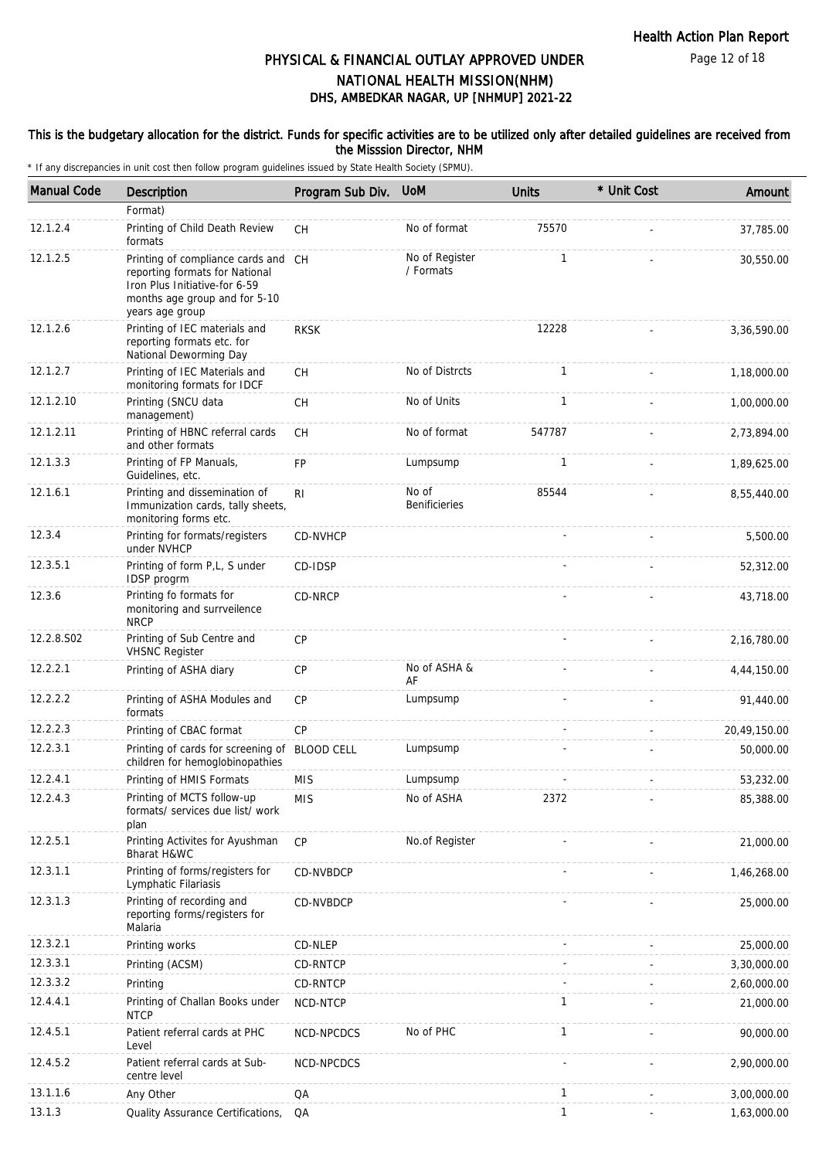### This is the budgetary allocation for the district. Funds for specific activities are to be utilized only after detailed guidelines are received from the Misssion Director, NHM

| <b>Manual Code</b> | Description                                                                                                                                                | Program Sub Div. | <b>UoM</b>                    | <b>Units</b> | * Unit Cost | Amount       |
|--------------------|------------------------------------------------------------------------------------------------------------------------------------------------------------|------------------|-------------------------------|--------------|-------------|--------------|
|                    | Format)                                                                                                                                                    |                  |                               |              |             |              |
| 12.1.2.4           | Printing of Child Death Review<br>formats                                                                                                                  | <b>CH</b>        | No of format                  | 75570        |             | 37,785.00    |
| 12.1.2.5           | Printing of compliance cards and CH<br>reporting formats for National<br>Iron Plus Initiative-for 6-59<br>months age group and for 5-10<br>years age group |                  | No of Register<br>/ Formats   | $\mathbf{1}$ |             | 30,550.00    |
| 12.1.2.6           | Printing of IEC materials and<br>reporting formats etc. for<br>National Deworming Day                                                                      | <b>RKSK</b>      |                               | 12228        |             | 3,36,590.00  |
| 12.1.2.7           | Printing of IEC Materials and<br>monitoring formats for IDCF                                                                                               | CH               | No of Distrcts                | $\mathbf{1}$ |             | 1,18,000.00  |
| 12.1.2.10          | Printing (SNCU data<br>management)                                                                                                                         | <b>CH</b>        | No of Units                   | $\mathbf{1}$ |             | 1,00,000.00  |
| 12.1.2.11          | Printing of HBNC referral cards<br>and other formats                                                                                                       | <b>CH</b>        | No of format                  | 547787       |             | 2,73,894.00  |
| 12.1.3.3           | Printing of FP Manuals,<br>Guidelines, etc.                                                                                                                | <b>FP</b>        | Lumpsump                      | $\mathbf{1}$ |             | 1,89,625.00  |
| 12.1.6.1           | Printing and dissemination of<br>Immunization cards, tally sheets,<br>monitoring forms etc.                                                                | R <sub>l</sub>   | No of<br><b>Benificieries</b> | 85544        |             | 8,55,440.00  |
| 12.3.4             | Printing for formats/registers<br>under NVHCP                                                                                                              | CD-NVHCP         |                               |              |             | 5,500.00     |
| 12.3.5.1           | Printing of form P,L, S under<br>IDSP progrm                                                                                                               | CD-IDSP          |                               |              |             | 52,312.00    |
| 12.3.6             | Printing fo formats for<br>monitoring and surrveilence<br><b>NRCP</b>                                                                                      | CD-NRCP          |                               |              |             | 43,718.00    |
| 12.2.8.S02         | Printing of Sub Centre and<br><b>VHSNC Register</b>                                                                                                        | <b>CP</b>        |                               |              |             | 2,16,780.00  |
| 12.2.2.1           | Printing of ASHA diary                                                                                                                                     | CP               | No of ASHA &<br>AF            |              |             | 4,44,150.00  |
| 12.2.2.2           | Printing of ASHA Modules and<br>formats                                                                                                                    | <b>CP</b>        | Lumpsump                      |              |             | 91,440.00    |
| 12.2.2.3           | Printing of CBAC format                                                                                                                                    | <b>CP</b>        |                               |              |             | 20,49,150.00 |
| 12.2.3.1           | Printing of cards for screening of BLOOD CELL<br>children for hemoglobinopathies                                                                           |                  | Lumpsump                      |              |             | 50,000.00    |
| 12.2.4.1           | Printing of HMIS Formats                                                                                                                                   | <b>MIS</b>       | Lumpsump                      |              |             | 53,232.00    |
| 12.2.4.3           | Printing of MCTS follow-up<br>formats/ services due list/ work<br>plan                                                                                     | <b>MIS</b>       | No of ASHA                    | 2372         |             | 85,388.00    |
| 12.2.5.1           | Printing Activites for Ayushman<br><b>Bharat H&amp;WC</b>                                                                                                  | CP               | No.of Register                |              |             | 21,000.00    |
| 12.3.1.1           | Printing of forms/registers for<br>Lymphatic Filariasis                                                                                                    | CD-NVBDCP        |                               |              |             | 1,46,268.00  |
| 12.3.1.3           | Printing of recording and<br>reporting forms/registers for<br>Malaria                                                                                      | CD-NVBDCP        |                               |              |             | 25,000.00    |
| 12.3.2.1           | Printing works                                                                                                                                             | CD-NLEP          |                               |              |             | 25,000.00    |
| 12.3.3.1           | Printing (ACSM)                                                                                                                                            | CD-RNTCP         |                               |              |             | 3,30,000.00  |
| 12.3.3.2           | Printing                                                                                                                                                   | CD-RNTCP         |                               |              |             | 2,60,000.00  |
| 12.4.4.1           | Printing of Challan Books under<br><b>NTCP</b>                                                                                                             | NCD-NTCP         |                               | 1            |             | 21,000.00    |
| 12.4.5.1           | Patient referral cards at PHC<br>Level                                                                                                                     | NCD-NPCDCS       | No of PHC                     | $\mathbf{1}$ |             | 90,000.00    |
| 12.4.5.2           | Patient referral cards at Sub-<br>centre level                                                                                                             | NCD-NPCDCS       |                               |              |             | 2,90,000.00  |
| 13.1.1.6           | Any Other                                                                                                                                                  | QA               |                               | 1            |             | 3,00,000.00  |
| 13.1.3             | Quality Assurance Certifications,                                                                                                                          | QA               |                               | $\mathbf{1}$ |             | 1,63,000.00  |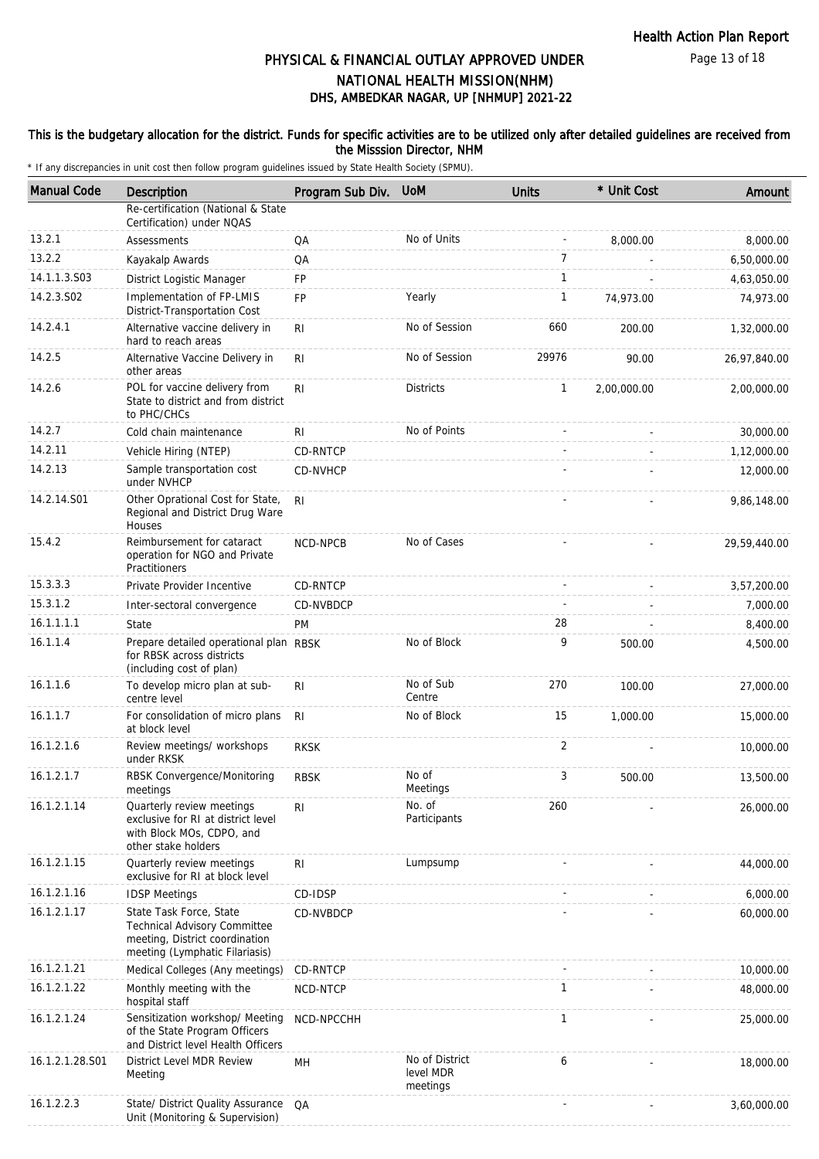Page 13 of 18

# DHS, AMBEDKAR NAGAR, UP [NHMUP] 2021-22 PHYSICAL & FINANCIAL OUTLAY APPROVED UNDER NATIONAL HEALTH MISSION(NHM)

## This is the budgetary allocation for the district. Funds for specific activities are to be utilized only after detailed guidelines are received from the Misssion Director, NHM

| <b>Manual Code</b> | Description                                                                                                                        | Program Sub Div. | <b>UoM</b>                              | <b>Units</b>   | * Unit Cost | Amount       |
|--------------------|------------------------------------------------------------------------------------------------------------------------------------|------------------|-----------------------------------------|----------------|-------------|--------------|
|                    | Re-certification (National & State<br>Certification) under NQAS                                                                    |                  |                                         |                |             |              |
| 13.2.1             | Assessments                                                                                                                        | QA               | No of Units                             |                | 8,000.00    | 8,000.00     |
| 13.2.2             | Kayakalp Awards                                                                                                                    | QA               |                                         | $\overline{7}$ |             | 6,50,000.00  |
| 14.1.1.3.S03       | District Logistic Manager                                                                                                          | FP               |                                         | $\mathbf{1}$   |             | 4,63,050.00  |
| 14.2.3.S02         | Implementation of FP-LMIS<br>District-Transportation Cost                                                                          | FP               | Yearly                                  | $\mathbf{1}$   | 74,973.00   | 74,973.00    |
| 14.2.4.1           | Alternative vaccine delivery in<br>hard to reach areas                                                                             | RI               | No of Session                           | 660            | 200.00      | 1,32,000.00  |
| 14.2.5             | Alternative Vaccine Delivery in<br>other areas                                                                                     | R <sub>l</sub>   | No of Session                           | 29976          | 90.00       | 26,97,840.00 |
| 14.2.6             | POL for vaccine delivery from<br>State to district and from district<br>to PHC/CHCs                                                | RI.              | <b>Districts</b>                        | $\mathbf{1}$   | 2,00,000.00 | 2,00,000.00  |
| 14.2.7             | Cold chain maintenance                                                                                                             | RI               | No of Points                            |                |             | 30,000.00    |
| 14.2.11            | Vehicle Hiring (NTEP)                                                                                                              | CD-RNTCP         |                                         |                |             | 1,12,000.00  |
| 14.2.13            | Sample transportation cost<br>under NVHCP                                                                                          | CD-NVHCP         |                                         |                |             | 12,000.00    |
| 14.2.14.S01        | Other Oprational Cost for State,<br>Regional and District Drug Ware<br>Houses                                                      | RI.              |                                         |                |             | 9,86,148.00  |
| 15.4.2             | Reimbursement for cataract<br>operation for NGO and Private<br>Practitioners                                                       | NCD-NPCB         | No of Cases                             |                |             | 29,59,440.00 |
| 15.3.3.3           | Private Provider Incentive                                                                                                         | CD-RNTCP         |                                         |                |             | 3,57,200.00  |
| 15.3.1.2           | Inter-sectoral convergence                                                                                                         | CD-NVBDCP        |                                         |                |             | 7,000.00     |
| 16.1.1.1.1         | State                                                                                                                              | <b>PM</b>        |                                         | 28             |             | 8,400.00     |
| 16.1.1.4           | Prepare detailed operational plan RBSK<br>for RBSK across districts<br>(including cost of plan)                                    |                  | No of Block                             | 9              | 500.00      | 4,500.00     |
| 16.1.1.6           | To develop micro plan at sub-<br>centre level                                                                                      | RI               | No of Sub<br>Centre                     | 270            | 100.00      | 27,000.00    |
| 16.1.1.7           | For consolidation of micro plans<br>at block level                                                                                 | R <sub>l</sub>   | No of Block                             | 15             | 1,000.00    | 15,000.00    |
| 16.1.2.1.6         | Review meetings/ workshops<br>under RKSK                                                                                           | <b>RKSK</b>      |                                         | 2              |             | 10,000.00    |
| 16.1.2.1.7         | RBSK Convergence/Monitoring<br>meetings                                                                                            | <b>RBSK</b>      | No of<br>Meetings                       | 3              | 500.00      | 13,500.00    |
| 16.1.2.1.14        | Quarterly review meetings<br>exclusive for RI at district level<br>with Block MOs, CDPO, and<br>other stake holders                | RI               | No. of<br>Participants                  | 260            |             | 26,000.00    |
| 16.1.2.1.15        | Quarterly review meetings<br>exclusive for RI at block level                                                                       | R <sub>1</sub>   | Lumpsump                                |                |             | 44,000.00    |
| 16.1.2.1.16        | <b>IDSP Meetings</b>                                                                                                               | CD-IDSP          |                                         |                |             | 6,000.00     |
| 16.1.2.1.17        | State Task Force, State<br><b>Technical Advisory Committee</b><br>meeting, District coordination<br>meeting (Lymphatic Filariasis) | CD-NVBDCP        |                                         |                |             | 60,000.00    |
| 16.1.2.1.21        | Medical Colleges (Any meetings)                                                                                                    | CD-RNTCP         |                                         |                |             | 10,000.00    |
| 16.1.2.1.22        | Monthly meeting with the<br>hospital staff                                                                                         | NCD-NTCP         |                                         | $\mathbf{1}$   |             | 48,000.00    |
| 16.1.2.1.24        | Sensitization workshop/ Meeting<br>of the State Program Officers<br>and District level Health Officers                             | NCD-NPCCHH       |                                         | $\mathbf{1}$   |             | 25,000.00    |
| 16.1.2.1.28.S01    | District Level MDR Review<br>Meeting                                                                                               | MН               | No of District<br>level MDR<br>meetings | 6              |             | 18,000.00    |
| 16.1.2.2.3         | State/ District Quality Assurance<br>Unit (Monitoring & Supervision)                                                               | QA               |                                         |                |             | 3,60,000.00  |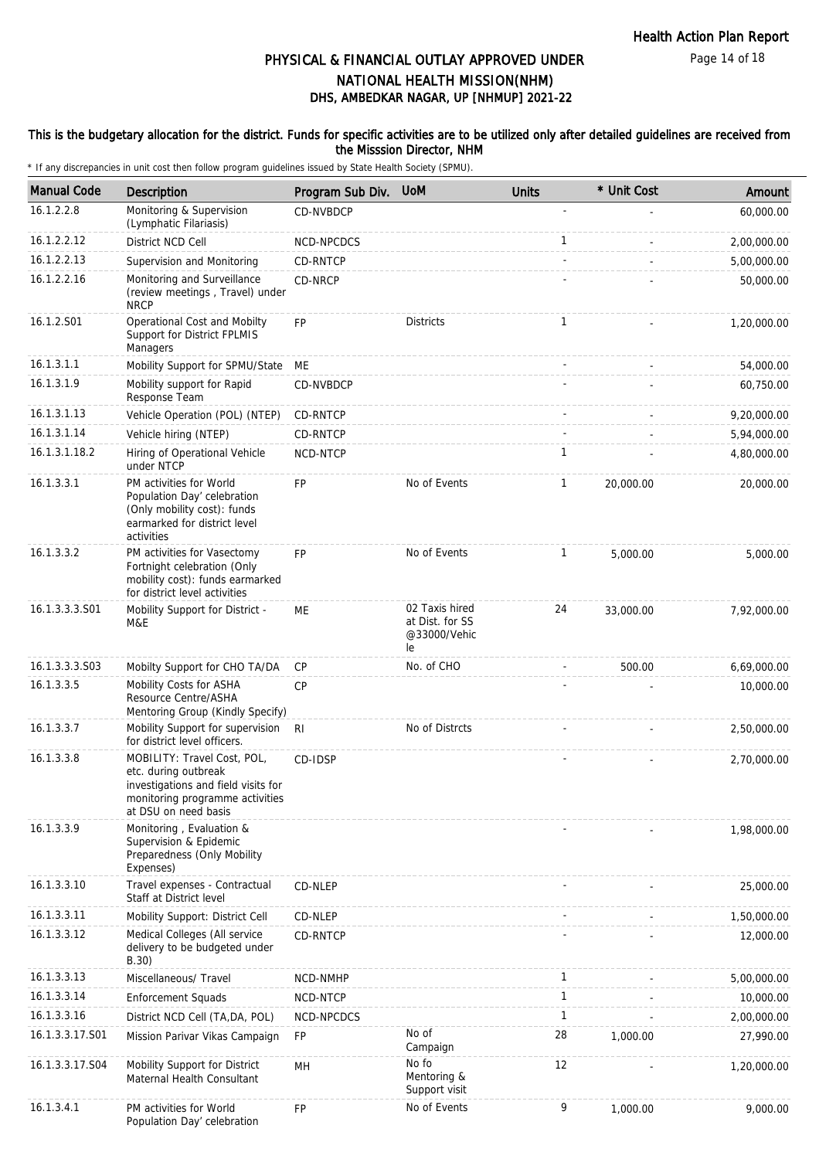Page 14 of 18

# DHS, AMBEDKAR NAGAR, UP [NHMUP] 2021-22 PHYSICAL & FINANCIAL OUTLAY APPROVED UNDER NATIONAL HEALTH MISSION(NHM)

## This is the budgetary allocation for the district. Funds for specific activities are to be utilized only after detailed guidelines are received from the Misssion Director, NHM

| <b>Manual Code</b> | Description                                                                                                                                           | Program Sub Div. | <b>UoM</b>                                              | <b>Units</b> | * Unit Cost | Amount      |
|--------------------|-------------------------------------------------------------------------------------------------------------------------------------------------------|------------------|---------------------------------------------------------|--------------|-------------|-------------|
| 16.1.2.2.8         | Monitoring & Supervision<br>(Lymphatic Filariasis)                                                                                                    | <b>CD-NVBDCP</b> |                                                         | ÷,           |             | 60,000.00   |
| 16.1.2.2.12        | District NCD Cell                                                                                                                                     | NCD-NPCDCS       |                                                         | 1            |             | 2,00,000.00 |
| 16.1.2.2.13        | Supervision and Monitoring                                                                                                                            | CD-RNTCP         |                                                         |              |             | 5,00,000.00 |
| 16.1.2.2.16        | Monitoring and Surveillance<br>(review meetings, Travel) under<br><b>NRCP</b>                                                                         | CD-NRCP          |                                                         |              |             | 50,000.00   |
| 16.1.2.S01         | Operational Cost and Mobilty<br>Support for District FPLMIS<br>Managers                                                                               | <b>FP</b>        | <b>Districts</b>                                        | $\mathbf{1}$ |             | 1,20,000.00 |
| 16.1.3.1.1         | Mobility Support for SPMU/State                                                                                                                       | ME               |                                                         |              |             | 54,000.00   |
| 16.1.3.1.9         | Mobility support for Rapid<br>Response Team                                                                                                           | CD-NVBDCP        |                                                         |              |             | 60,750.00   |
| 16.1.3.1.13        | Vehicle Operation (POL) (NTEP)                                                                                                                        | CD-RNTCP         |                                                         |              |             | 9,20,000.00 |
| 16.1.3.1.14        | Vehicle hiring (NTEP)                                                                                                                                 | CD-RNTCP         |                                                         |              |             | 5,94,000.00 |
| 16.1.3.1.18.2      | Hiring of Operational Vehicle<br>under NTCP                                                                                                           | NCD-NTCP         |                                                         | $\mathbf{1}$ |             | 4,80,000.00 |
| 16.1.3.3.1         | PM activities for World<br>Population Day' celebration<br>(Only mobility cost): funds<br>earmarked for district level<br>activities                   | <b>FP</b>        | No of Events                                            | $\mathbf{1}$ | 20,000.00   | 20,000.00   |
| 16.1.3.3.2         | PM activities for Vasectomy<br>Fortnight celebration (Only<br>mobility cost): funds earmarked<br>for district level activities                        | <b>FP</b>        | No of Events                                            | $\mathbf{1}$ | 5.000.00    | 5,000.00    |
| 16.1.3.3.3.S01     | Mobility Support for District -<br>M&E                                                                                                                | <b>ME</b>        | 02 Taxis hired<br>at Dist. for SS<br>@33000/Vehic<br>le | 24           | 33,000.00   | 7,92,000.00 |
| 16.1.3.3.3.S03     | Mobilty Support for CHO TA/DA                                                                                                                         | <b>CP</b>        | No. of CHO                                              |              | 500.00      | 6,69,000.00 |
| 16.1.3.3.5         | Mobility Costs for ASHA<br>Resource Centre/ASHA<br>Mentoring Group (Kindly Specify)                                                                   | <b>CP</b>        |                                                         |              |             | 10,000.00   |
| 16.1.3.3.7         | Mobility Support for supervision<br>for district level officers.                                                                                      | -RI              | No of Distrcts                                          |              |             | 2,50,000.00 |
| 16.1.3.3.8         | MOBILITY: Travel Cost, POL,<br>etc. during outbreak<br>investigations and field visits for<br>monitoring programme activities<br>at DSU on need basis | CD-IDSP          |                                                         |              |             | 2,70,000.00 |
| 16.1.3.3.9         | Monitoring, Evaluation &<br>Supervision & Epidemic<br>Preparedness (Only Mobility<br>Expenses)                                                        |                  |                                                         |              |             | 1,98,000.00 |
| 16.1.3.3.10        | Travel expenses - Contractual<br>Staff at District level                                                                                              | CD-NLEP          |                                                         |              |             | 25,000.00   |
| 16.1.3.3.11        | Mobility Support: District Cell                                                                                                                       | CD-NLEP          |                                                         |              |             | 1,50,000.00 |
| 16.1.3.3.12        | Medical Colleges (All service<br>delivery to be budgeted under<br>B.30)                                                                               | <b>CD-RNTCP</b>  |                                                         |              |             | 12,000.00   |
| 16.1.3.3.13        | Miscellaneous/ Travel                                                                                                                                 | NCD-NMHP         |                                                         | $\mathbf{1}$ |             | 5,00,000.00 |
| 16.1.3.3.14        | <b>Enforcement Squads</b>                                                                                                                             | NCD-NTCP         |                                                         | 1            |             | 10,000.00   |
| 16.1.3.3.16        | District NCD Cell (TA, DA, POL)                                                                                                                       | NCD-NPCDCS       |                                                         | $\mathbf{1}$ |             | 2,00,000.00 |
| 16.1.3.3.17.S01    | Mission Parivar Vikas Campaign                                                                                                                        | <b>FP</b>        | No of<br>Campaign                                       | 28           | 1,000.00    | 27,990.00   |
| 16.1.3.3.17.S04    | Mobility Support for District<br>Maternal Health Consultant                                                                                           | MH               | No fo<br>Mentoring &<br>Support visit                   | 12           |             | 1,20,000.00 |
| 16.1.3.4.1         | PM activities for World<br>Population Day' celebration                                                                                                | FP               | No of Events                                            | 9            | 1,000.00    | 9,000.00    |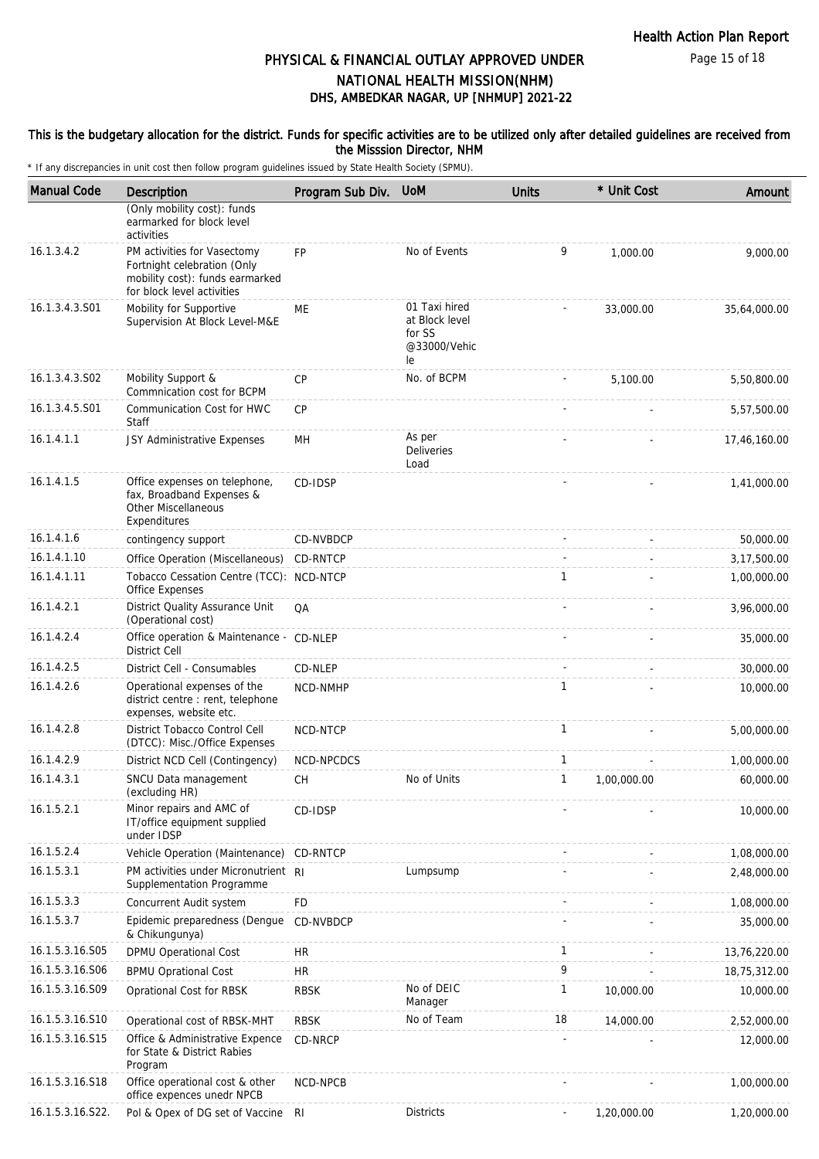### This is the budgetary allocation for the district. Funds for specific activities are to be utilized only after detailed guidelines are received from the Misssion Director, NHM

| <b>Manual Code</b> | Description                                                                                                                 | Program Sub Div. | <b>UoM</b>                                                      | <b>Units</b> | * Unit Cost | Amount       |
|--------------------|-----------------------------------------------------------------------------------------------------------------------------|------------------|-----------------------------------------------------------------|--------------|-------------|--------------|
|                    | (Only mobility cost): funds<br>earmarked for block level<br>activities                                                      |                  |                                                                 |              |             |              |
| 16.1.3.4.2         | PM activities for Vasectomy<br>Fortnight celebration (Only<br>mobility cost): funds earmarked<br>for block level activities | <b>FP</b>        | No of Events                                                    | 9            | 1,000.00    | 9,000.00     |
| 16.1.3.4.3.S01     | Mobility for Supportive<br>Supervision At Block Level-M&E                                                                   | ME               | 01 Taxi hired<br>at Block level<br>for SS<br>@33000/Vehic<br>le |              | 33,000.00   | 35,64,000.00 |
| 16.1.3.4.3.S02     | Mobility Support &<br>Commnication cost for BCPM                                                                            | CP               | No. of BCPM                                                     |              | 5,100.00    | 5,50,800.00  |
| 16.1.3.4.5.S01     | Communication Cost for HWC<br>Staff                                                                                         | CP               |                                                                 |              |             | 5,57,500.00  |
| 16.1.4.1.1         | JSY Administrative Expenses                                                                                                 | MН               | As per<br><b>Deliveries</b><br>Load                             |              |             | 17,46,160.00 |
| 16.1.4.1.5         | Office expenses on telephone,<br>fax, Broadband Expenses &<br><b>Other Miscellaneous</b><br>Expenditures                    | CD-IDSP          |                                                                 |              |             | 1,41,000.00  |
| 16.1.4.1.6         | contingency support                                                                                                         | <b>CD-NVBDCP</b> |                                                                 |              | $\sim$      | 50,000.00    |
| 16.1.4.1.10        | Office Operation (Miscellaneous)                                                                                            | CD-RNTCP         |                                                                 |              |             | 3,17,500.00  |
| 16.1.4.1.11        | Tobacco Cessation Centre (TCC): NCD-NTCP<br>Office Expenses                                                                 |                  |                                                                 | 1            |             | 1,00,000.00  |
| 16.1.4.2.1         | District Quality Assurance Unit<br>(Operational cost)                                                                       | QA               |                                                                 |              |             | 3,96,000.00  |
| 16.1.4.2.4         | Office operation & Maintenance - CD-NLEP<br><b>District Cell</b>                                                            |                  |                                                                 |              |             | 35,000.00    |
| 16.1.4.2.5         | District Cell - Consumables                                                                                                 | CD-NLEP          |                                                                 |              |             | 30,000.00    |
| 16.1.4.2.6         | Operational expenses of the<br>district centre : rent, telephone<br>expenses, website etc.                                  | NCD-NMHP         |                                                                 | 1            |             | 10,000.00    |
| 16.1.4.2.8         | District Tobacco Control Cell<br>(DTCC): Misc./Office Expenses                                                              | NCD-NTCP         |                                                                 | 1            |             | 5,00,000.00  |
| 16.1.4.2.9         | District NCD Cell (Contingency)                                                                                             | NCD-NPCDCS       |                                                                 | $\mathbf{1}$ |             | 1,00,000.00  |
| 16.1.4.3.1         | SNCU Data management<br>(excluding HR)                                                                                      | <b>CH</b>        | No of Units                                                     | 1            | 1,00,000.00 | 60,000.00    |
| 16.1.5.2.1         | Minor repairs and AMC of<br>IT/office equipment supplied<br>under IDSP                                                      | CD-IDSP          |                                                                 |              |             | 10,000.00    |
| 16.1.5.2.4         | Vehicle Operation (Maintenance) CD-RNTCP                                                                                    |                  |                                                                 |              |             | 1,08,000.00  |
| 16.1.5.3.1         | PM activities under Micronutrient RI<br>Supplementation Programme                                                           |                  | Lumpsump                                                        |              |             | 2,48,000.00  |
| 16.1.5.3.3         | Concurrent Audit system                                                                                                     | <b>FD</b>        |                                                                 |              |             | 1,08,000.00  |
| 16.1.5.3.7         | Epidemic preparedness (Dengue<br>& Chikungunya)                                                                             | CD-NVBDCP        |                                                                 |              |             | 35,000.00    |
| 16.1.5.3.16.S05    | DPMU Operational Cost                                                                                                       | <b>HR</b>        |                                                                 | 1            |             | 13,76,220.00 |
| 16.1.5.3.16.S06    | <b>BPMU Oprational Cost</b>                                                                                                 | <b>HR</b>        |                                                                 | 9            |             | 18,75,312.00 |
| 16.1.5.3.16.S09    | Oprational Cost for RBSK                                                                                                    | <b>RBSK</b>      | No of DEIC<br>Manager                                           | 1            | 10,000.00   | 10,000.00    |
| 16.1.5.3.16.S10    | Operational cost of RBSK-MHT                                                                                                | <b>RBSK</b>      | No of Team                                                      | 18           | 14,000.00   | 2,52,000.00  |
| 16.1.5.3.16.S15    | Office & Administrative Expence<br>for State & District Rabies<br>Program                                                   | CD-NRCP          |                                                                 |              |             | 12,000.00    |
| 16.1.5.3.16.S18    | Office operational cost & other<br>office expences unedr NPCB                                                               | NCD-NPCB         |                                                                 |              |             | 1,00,000.00  |
| 16.1.5.3.16.S22.   | Pol & Opex of DG set of Vaccine RI                                                                                          |                  | <b>Districts</b>                                                |              | 1,20,000.00 | 1,20,000.00  |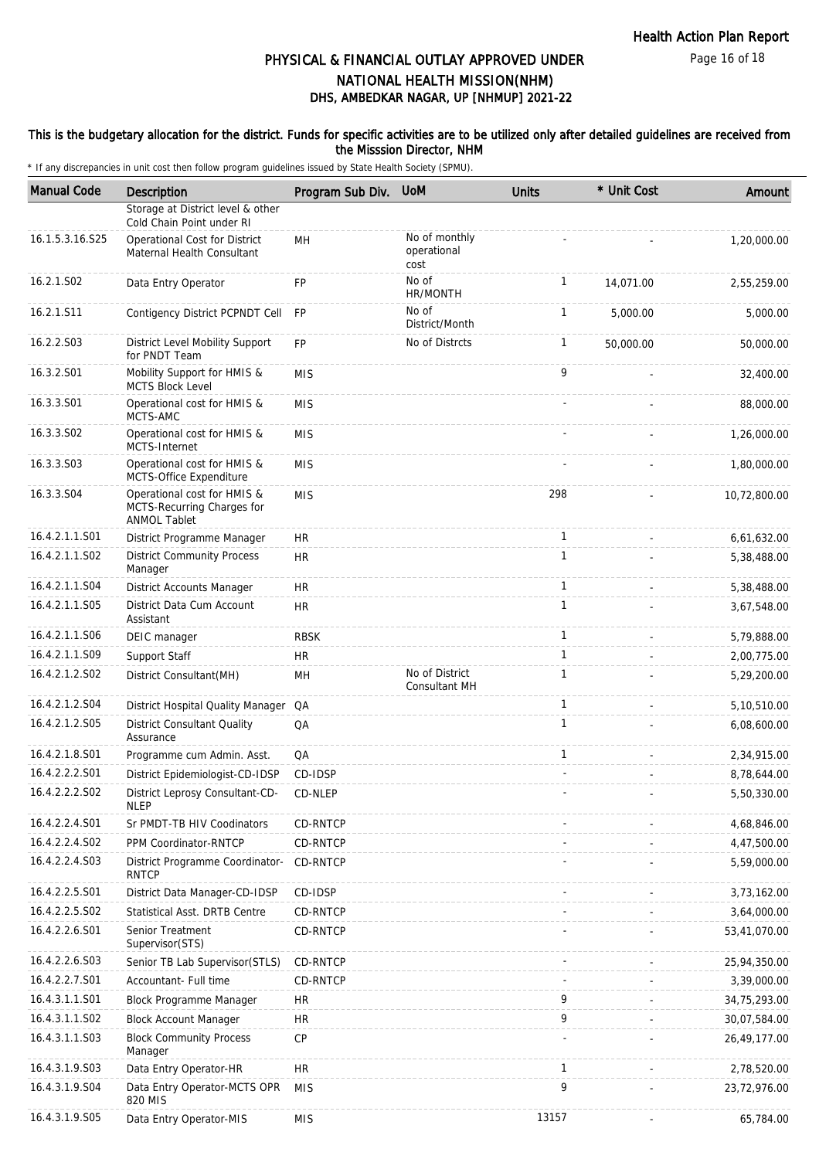### This is the budgetary allocation for the district. Funds for specific activities are to be utilized only after detailed guidelines are received from the Misssion Director, NHM

| <b>Manual Code</b> | <b>Description</b>                                                               | Program Sub Div. | <b>UoM</b>                           | <b>Units</b> | * Unit Cost | Amount       |
|--------------------|----------------------------------------------------------------------------------|------------------|--------------------------------------|--------------|-------------|--------------|
|                    | Storage at District level & other<br>Cold Chain Point under RI                   |                  |                                      |              |             |              |
| 16.1.5.3.16.S25    | Operational Cost for District<br>Maternal Health Consultant                      | MН               | No of monthly<br>operational<br>cost |              |             | 1,20,000.00  |
| 16.2.1.S02         | Data Entry Operator                                                              | <b>FP</b>        | No of<br>HR/MONTH                    | $\mathbf{1}$ | 14,071.00   | 2,55,259.00  |
| 16.2.1.S11         | Contigency District PCPNDT Cell                                                  | <b>FP</b>        | No of<br>District/Month              | 1            | 5,000.00    | 5,000.00     |
| 16.2.2.S03         | District Level Mobility Support<br>for PNDT Team                                 | <b>FP</b>        | No of Distrcts                       | $\mathbf{1}$ | 50,000.00   | 50,000.00    |
| 16.3.2.S01         | Mobility Support for HMIS &<br><b>MCTS Block Level</b>                           | <b>MIS</b>       |                                      | 9            |             | 32,400.00    |
| 16.3.3.S01         | Operational cost for HMIS &<br>MCTS-AMC                                          | <b>MIS</b>       |                                      |              |             | 88,000.00    |
| 16.3.3.S02         | Operational cost for HMIS &<br>MCTS-Internet                                     | <b>MIS</b>       |                                      |              |             | 1,26,000.00  |
| 16.3.3.S03         | Operational cost for HMIS &<br>MCTS-Office Expenditure                           | <b>MIS</b>       |                                      |              |             | 1,80,000.00  |
| 16.3.3.S04         | Operational cost for HMIS &<br>MCTS-Recurring Charges for<br><b>ANMOL Tablet</b> | <b>MIS</b>       |                                      | 298          |             | 10,72,800.00 |
| 16.4.2.1.1.S01     | District Programme Manager                                                       | <b>HR</b>        |                                      | $\mathbf{1}$ |             | 6,61,632.00  |
| 16.4.2.1.1.S02     | <b>District Community Process</b><br>Manager                                     | <b>HR</b>        |                                      | $\mathbf{1}$ |             | 5,38,488.00  |
| 16.4.2.1.1.S04     | District Accounts Manager                                                        | <b>HR</b>        |                                      | $\mathbf{1}$ |             | 5,38,488.00  |
| 16.4.2.1.1.S05     | District Data Cum Account<br>Assistant                                           | <b>HR</b>        |                                      | $\mathbf{1}$ |             | 3,67,548.00  |
| 16.4.2.1.1.S06     | DEIC manager                                                                     | <b>RBSK</b>      |                                      | $\mathbf{1}$ |             | 5,79,888.00  |
| 16.4.2.1.1.S09     | Support Staff                                                                    | <b>HR</b>        |                                      | $\mathbf{1}$ |             | 2,00,775.00  |
| 16.4.2.1.2.S02     | District Consultant(MH)                                                          | MН               | No of District<br>Consultant MH      | $\mathbf{1}$ |             | 5,29,200.00  |
| 16.4.2.1.2.S04     | District Hospital Quality Manager                                                | QA               |                                      | $\mathbf{1}$ |             | 5,10,510.00  |
| 16.4.2.1.2.S05     | District Consultant Quality<br>Assurance                                         | QA               |                                      | $\mathbf{1}$ |             | 6,08,600.00  |
| 16.4.2.1.8.S01     | Programme cum Admin. Asst.                                                       | QA               |                                      | 1            |             | 2,34,915.00  |
| 16.4.2.2.2.S01     | District Epidemiologist-CD-IDSP                                                  | CD-IDSP          |                                      |              |             | 8,78,644.00  |
| 16.4.2.2.2.SO2     | District Leprosy Consultant-CD-<br><b>NLEP</b>                                   | CD-NLEP          |                                      |              |             | 5,50,330.00  |
| 16.4.2.2.4.S01     | Sr PMDT-TB HIV Coodinators                                                       | CD-RNTCP         |                                      |              |             | 4,68,846.00  |
| 16.4.2.2.4.S02     | PPM Coordinator-RNTCP                                                            | CD-RNTCP         |                                      |              |             | 4,47,500.00  |
| 16.4.2.2.4.S03     | District Programme Coordinator-<br><b>RNTCP</b>                                  | CD-RNTCP         |                                      |              |             | 5,59,000.00  |
| 16.4.2.2.5.S01     | District Data Manager-CD-IDSP                                                    | CD-IDSP          |                                      |              |             | 3,73,162.00  |
| 16.4.2.2.5.S02     | <b>Statistical Asst. DRTB Centre</b>                                             | CD-RNTCP         |                                      |              |             | 3,64,000.00  |
| 16.4.2.2.6.S01     | Senior Treatment<br>Supervisor(STS)                                              | CD-RNTCP         |                                      |              |             | 53,41,070.00 |
| 16.4.2.2.6.S03     | Senior TB Lab Supervisor(STLS)                                                   | CD-RNTCP         |                                      |              |             | 25,94,350.00 |
| 16.4.2.2.7.S01     | Accountant- Full time                                                            | CD-RNTCP         |                                      |              |             | 3,39,000.00  |
| 16.4.3.1.1.S01     | <b>Block Programme Manager</b>                                                   | HR               |                                      | 9            |             | 34,75,293.00 |
| 16.4.3.1.1.S02     | <b>Block Account Manager</b>                                                     | <b>HR</b>        |                                      | 9            |             | 30,07,584.00 |
| 16.4.3.1.1.S03     | <b>Block Community Process</b><br>Manager                                        | CP               |                                      |              |             | 26,49,177.00 |
| 16.4.3.1.9.S03     | Data Entry Operator-HR                                                           | <b>HR</b>        |                                      | 1            |             | 2,78,520.00  |
| 16.4.3.1.9.S04     | Data Entry Operator-MCTS OPR<br>820 MIS                                          | <b>MIS</b>       |                                      | 9            |             | 23,72,976.00 |
| 16.4.3.1.9.S05     | Data Entry Operator-MIS                                                          | <b>MIS</b>       |                                      | 13157        |             | 65,784.00    |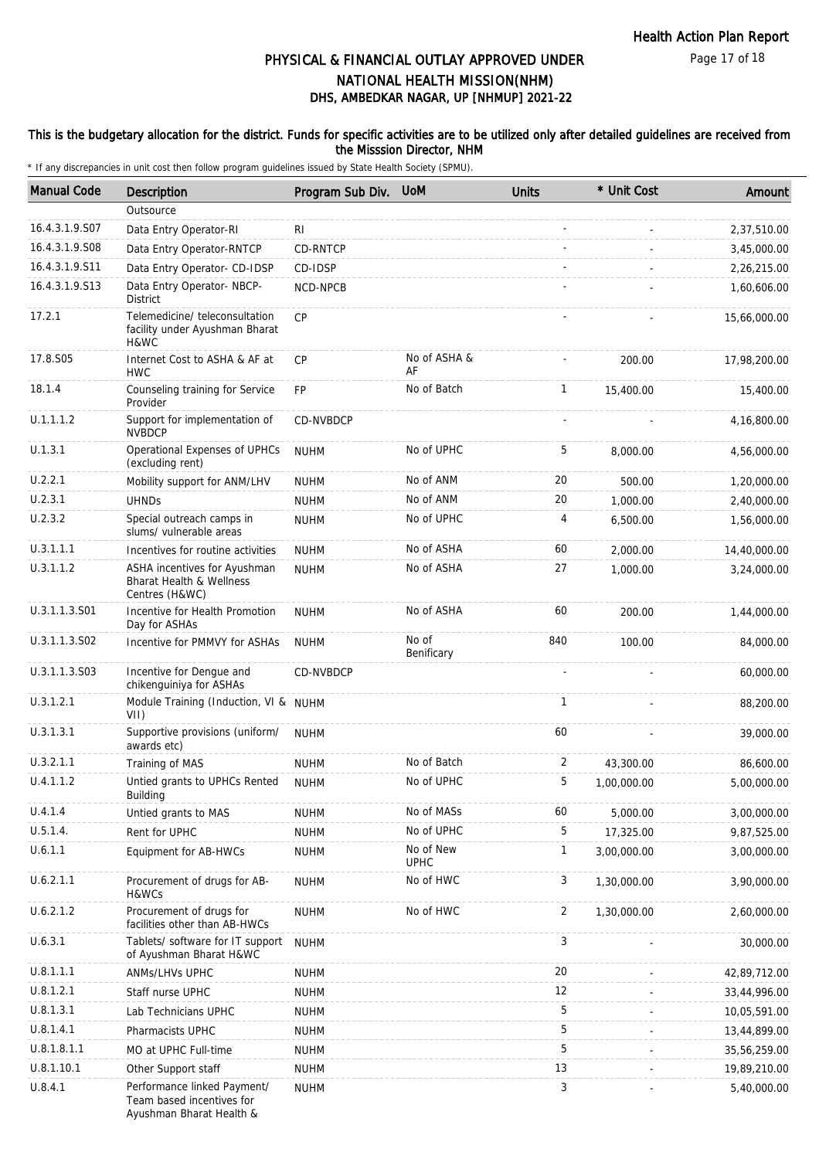### This is the budgetary allocation for the district. Funds for specific activities are to be utilized only after detailed guidelines are received from the Misssion Director, NHM

| <b>Manual Code</b> | Description                                                                          | Program Sub Div. | <b>UoM</b>               | <b>Units</b> | * Unit Cost | Amount       |
|--------------------|--------------------------------------------------------------------------------------|------------------|--------------------------|--------------|-------------|--------------|
|                    | Outsource                                                                            |                  |                          |              |             |              |
| 16.4.3.1.9.S07     | Data Entry Operator-RI                                                               | RI               |                          |              |             | 2,37,510.00  |
| 16.4.3.1.9.S08     | Data Entry Operator-RNTCP                                                            | CD-RNTCP         |                          |              |             | 3,45,000.00  |
| 16.4.3.1.9.S11     | Data Entry Operator- CD-IDSP                                                         | CD-IDSP          |                          |              |             | 2,26,215.00  |
| 16.4.3.1.9.S13     | Data Entry Operator- NBCP-<br><b>District</b>                                        | NCD-NPCB         |                          |              |             | 1,60,606.00  |
| 17.2.1             | Telemedicine/ teleconsultation<br>facility under Ayushman Bharat<br>H&WC             | <b>CP</b>        |                          |              |             | 15,66,000.00 |
| 17.8.S05           | Internet Cost to ASHA & AF at<br><b>HWC</b>                                          | <b>CP</b>        | No of ASHA &<br>AF       |              | 200.00      | 17,98,200.00 |
| 18.1.4             | Counseling training for Service<br>Provider                                          | FP               | No of Batch              | $\mathbf{1}$ | 15,400.00   | 15,400.00    |
| U.1.1.1.2          | Support for implementation of<br><b>NVBDCP</b>                                       | CD-NVBDCP        |                          |              |             | 4,16,800.00  |
| U.1.3.1            | Operational Expenses of UPHCs<br>(excluding rent)                                    | <b>NUHM</b>      | No of UPHC               | 5            | 8,000.00    | 4,56,000.00  |
| U.2.2.1            | Mobility support for ANM/LHV                                                         | <b>NUHM</b>      | No of ANM                | 20           | 500.00      | 1,20,000.00  |
| U.2.3.1            | <b>UHNDs</b>                                                                         | <b>NUHM</b>      | No of ANM                | 20           | 1,000.00    | 2,40,000.00  |
| U.2.3.2            | Special outreach camps in<br>slums/ vulnerable areas                                 | <b>NUHM</b>      | No of UPHC               | 4            | 6,500.00    | 1,56,000.00  |
| U.3.1.1.1          | Incentives for routine activities                                                    | <b>NUHM</b>      | No of ASHA               | 60           | 2,000.00    | 14,40,000.00 |
| U.3.1.1.2          | ASHA incentives for Ayushman<br>Bharat Health & Wellness<br>Centres (H&WC)           | <b>NUHM</b>      | No of ASHA               | 27           | 1,000.00    | 3,24,000.00  |
| U.3.1.1.3.S01      | Incentive for Health Promotion<br>Day for ASHAs                                      | <b>NUHM</b>      | No of ASHA               | 60           | 200.00      | 1,44,000.00  |
| U.3.1.1.3.S02      | Incentive for PMMVY for ASHAs                                                        | <b>NUHM</b>      | No of<br>Benificary      | 840          | 100.00      | 84,000.00    |
| U.3.1.1.3.S03      | Incentive for Dengue and<br>chikenguiniya for ASHAs                                  | CD-NVBDCP        |                          |              |             | 60,000.00    |
| U.3.1.2.1          | Module Training (Induction, VI & NUHM<br>VII)                                        |                  |                          | 1            |             | 88,200.00    |
| U.3.1.3.1          | Supportive provisions (uniform/<br>awards etc)                                       | <b>NUHM</b>      |                          | 60           |             | 39,000.00    |
| U.3.2.1.1          | Training of MAS                                                                      | <b>NUHM</b>      | No of Batch              | 2            | 43,300.00   | 86,600.00    |
| U.4.1.1.2          | Untied grants to UPHCs Rented<br>Building                                            | <b>NUHM</b>      | No of UPHC               | 5            | 1,00,000.00 | 5,00,000.00  |
| U.4.1.4            | Untied grants to MAS                                                                 | <b>NUHM</b>      | No of MASs               | 60           | 5,000.00    | 3,00,000.00  |
| U.5.1.4.           | Rent for UPHC                                                                        | <b>NUHM</b>      | No of UPHC               | 5            | 17,325.00   | 9,87,525.00  |
| U.6.1.1            | Equipment for AB-HWCs                                                                | <b>NUHM</b>      | No of New<br><b>UPHC</b> | $\mathbf{1}$ | 3,00,000.00 | 3,00,000.00  |
| U.6.2.1.1          | Procurement of drugs for AB-<br>H&WCs                                                | <b>NUHM</b>      | No of HWC                | 3            | 1,30,000.00 | 3,90,000.00  |
| U.6.2.1.2          | Procurement of drugs for<br>facilities other than AB-HWCs                            | <b>NUHM</b>      | No of HWC                | 2            | 1,30,000.00 | 2,60,000.00  |
| U.6.3.1            | Tablets/ software for IT support<br>of Ayushman Bharat H&WC                          | <b>NUHM</b>      |                          | 3            |             | 30,000.00    |
| U.8.1.1.1          | ANMs/LHVs UPHC                                                                       | <b>NUHM</b>      |                          | 20           |             | 42,89,712.00 |
| U.8.1.2.1          | Staff nurse UPHC                                                                     | <b>NUHM</b>      |                          | 12           |             | 33,44,996.00 |
| U.8.1.3.1          | Lab Technicians UPHC                                                                 | <b>NUHM</b>      |                          | 5            |             | 10,05,591.00 |
| U.8.1.4.1          | Pharmacists UPHC                                                                     | <b>NUHM</b>      |                          | 5            |             | 13,44,899.00 |
| U.8.1.8.1.1        | MO at UPHC Full-time                                                                 | <b>NUHM</b>      |                          | 5            |             | 35,56,259.00 |
| U.8.1.10.1         | Other Support staff                                                                  | <b>NUHM</b>      |                          | 13           |             | 19,89,210.00 |
| U.8.4.1            | Performance linked Payment/<br>Team based incentives for<br>Ayushman Bharat Health & | <b>NUHM</b>      |                          | 3            |             | 5,40,000.00  |